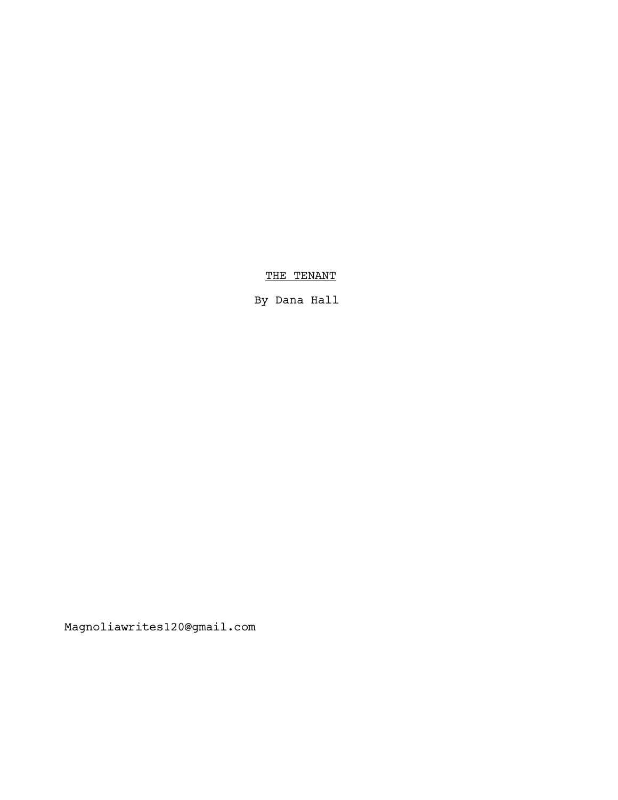THE TENANT

By Dana Hall

Magnoliawrites120@gmail.com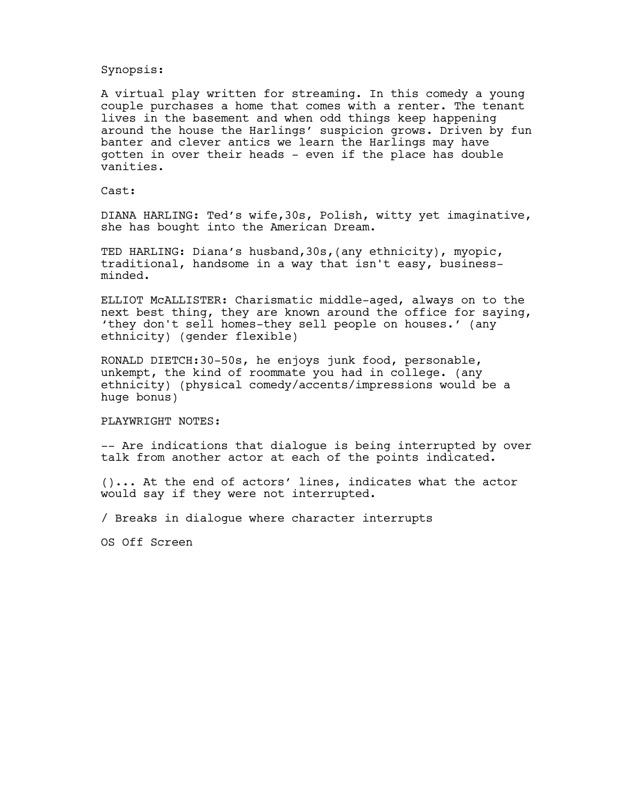## Synopsis:

A virtual play written for streaming. In this comedy a young couple purchases a home that comes with a renter. The tenant lives in the basement and when odd things keep happening around the house the Harlings' suspicion grows. Driven by fun banter and clever antics we learn the Harlings may have gotten in over their heads - even if the place has double vanities.

## Cast:

DIANA HARLING: Ted's wife,30s, Polish, witty yet imaginative, she has bought into the American Dream.

TED HARLING: Diana's husband,30s,(any ethnicity), myopic, traditional, handsome in a way that isn't easy, businessminded.

ELLIOT McALLISTER: Charismatic middle-aged, always on to the next best thing, they are known around the office for saying, 'they don't sell homes-they sell people on houses.' (any ethnicity) (gender flexible)

RONALD DIETCH:30-50s, he enjoys junk food, personable, unkempt, the kind of roommate you had in college. (any ethnicity) (physical comedy/accents/impressions would be a huge bonus)

#### PLAYWRIGHT NOTES:

-- Are indications that dialogue is being interrupted by over talk from another actor at each of the points indicated.

()... At the end of actors' lines, indicates what the actor would say if they were not interrupted.

/ Breaks in dialogue where character interrupts

OS Off Screen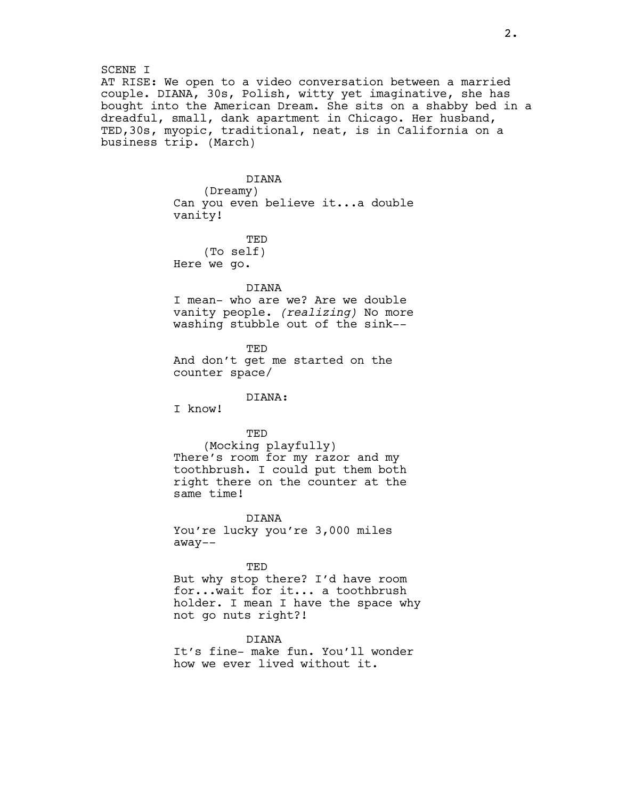## SCENE I AT RISE: We open to a video conversation between a married couple. DIANA, 30s, Polish, witty yet imaginative, she has bought into the American Dream. She sits on a shabby bed in a dreadful, small, dank apartment in Chicago. Her husband, TED,30s, myopic, traditional, neat, is in California on a business trip. (March)

# DIANA (Dreamy) Can you even believe it...a double vanity!

TED (To self) Here we go.

## DIANA

I mean- who are we? Are we double vanity people. (realizing) No more washing stubble out of the sink--

TED And don't get me started on the counter space/

DIANA:

I know!

## TED

(Mocking playfully) There's room for my razor and my toothbrush. I could put them both right there on the counter at the same time!

DIANA

You're lucky you're 3,000 miles away--

#### TED

But why stop there? I'd have room for...wait for it... a toothbrush holder. I mean I have the space why not go nuts right?!

DIANA It's fine- make fun. You'll wonder how we ever lived without it.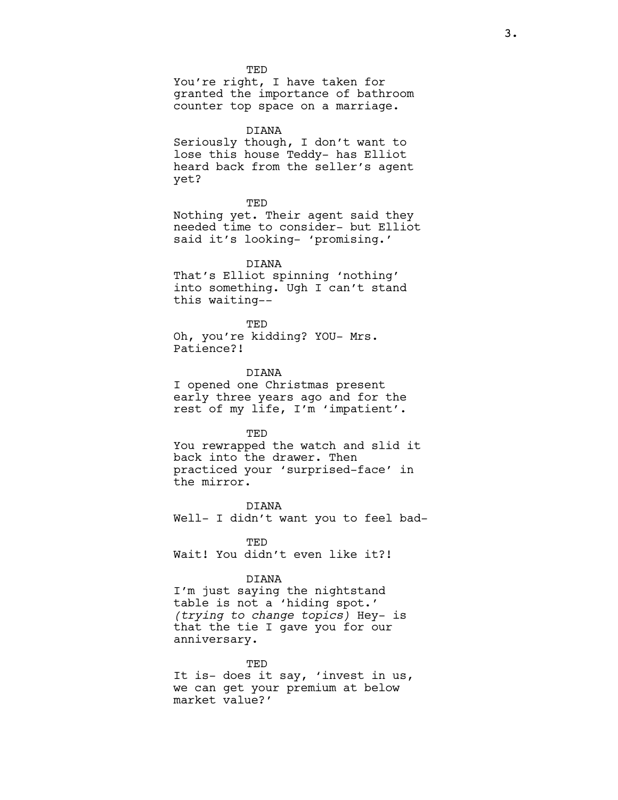TED You're right, I have taken for granted the importance of bathroom counter top space on a marriage.

DIANA Seriously though, I don't want to lose this house Teddy- has Elliot heard back from the seller's agent yet?

**TED** 

Nothing yet. Their agent said they needed time to consider- but Elliot said it's looking- 'promising.'

DIANA

That's Elliot spinning 'nothing' into something. Ugh I can't stand this waiting--

TED Oh, you're kidding? YOU- Mrs. Patience?!

DIANA I opened one Christmas present early three years ago and for the rest of my life, I'm 'impatient'.

TED

You rewrapped the watch and slid it back into the drawer. Then practiced your 'surprised-face' in the mirror.

DIANA Well- I didn't want you to feel bad-

**TED** Wait! You didn't even like it?!

### DIANA

I'm just saying the nightstand table is not a 'hiding spot.' (trying to change topics) Hey- is that the tie I gave you for our anniversary.

TED

It is- does it say, 'invest in us, we can get your premium at below market value?'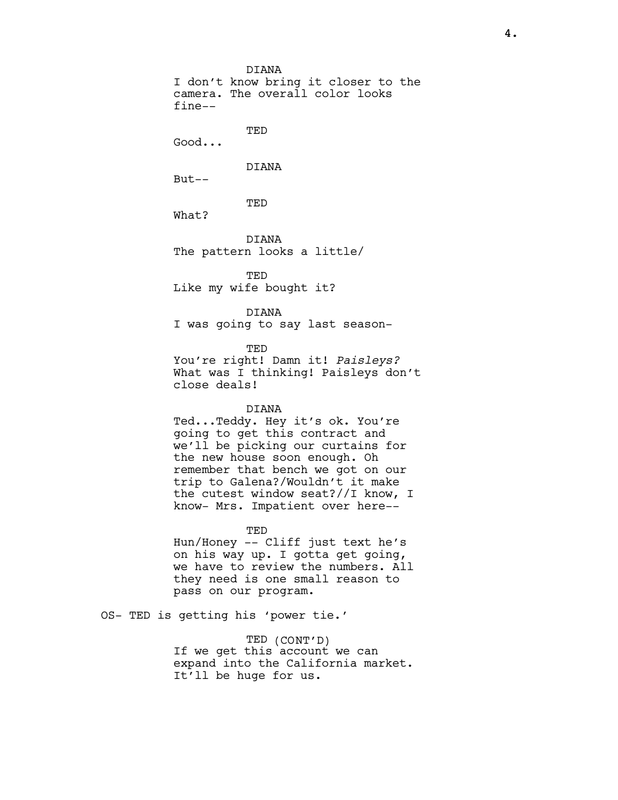DIANA I don't know bring it closer to the camera. The overall color looks fine-- TED Good... DIANA But-- **TED** What? DIANA The pattern looks a little/

TED Like my wife bought it?

DIANA I was going to say last season-

TED You're right! Damn it! Paisleys? What was I thinking! Paisleys don't close deals!

## DIANA

Ted...Teddy. Hey it's ok. You're going to get this contract and we'll be picking our curtains for the new house soon enough. Oh remember that bench we got on our trip to Galena?/Wouldn't it make the cutest window seat?//I know, I know- Mrs. Impatient over here--

TED

Hun/Honey -- Cliff just text he's on his way up. I gotta get going, we have to review the numbers. All they need is one small reason to pass on our program.

OS- TED is getting his 'power tie.'

TED (CONT'D) If we get this account we can expand into the California market. It'll be huge for us.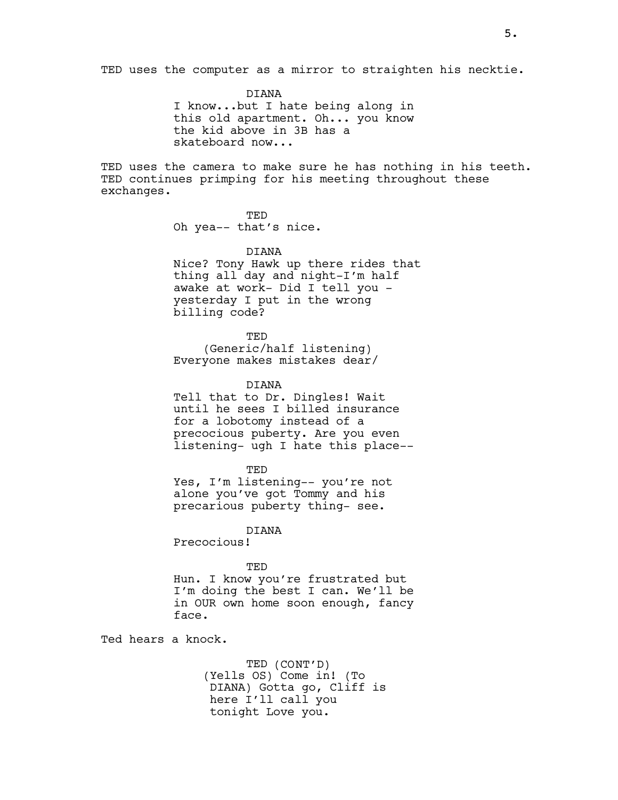TED uses the computer as a mirror to straighten his necktie.

DIANA I know...but I hate being along in this old apartment. Oh... you know the kid above in 3B has a skateboard now...

TED uses the camera to make sure he has nothing in his teeth. TED continues primping for his meeting throughout these exchanges.

> TED Oh yea-- that's nice.

DIANA Nice? Tony Hawk up there rides that thing all day and night-I'm half awake at work- Did I tell you yesterday I put in the wrong billing code?

TED (Generic/half listening) Everyone makes mistakes dear/

DIANA

Tell that to Dr. Dingles! Wait until he sees I billed insurance for a lobotomy instead of a precocious puberty. Are you even listening- ugh I hate this place--

**TED** 

Yes, I'm listening-- you're not alone you've got Tommy and his precarious puberty thing- see.

DIANA

Precocious!

#### TED

Hun. I know you're frustrated but I'm doing the best I can. We'll be in OUR own home soon enough, fancy face.

Ted hears a knock.

TED (CONT'D) (Yells OS) Come in! (To DIANA) Gotta go, Cliff is here I'll call you tonight Love you.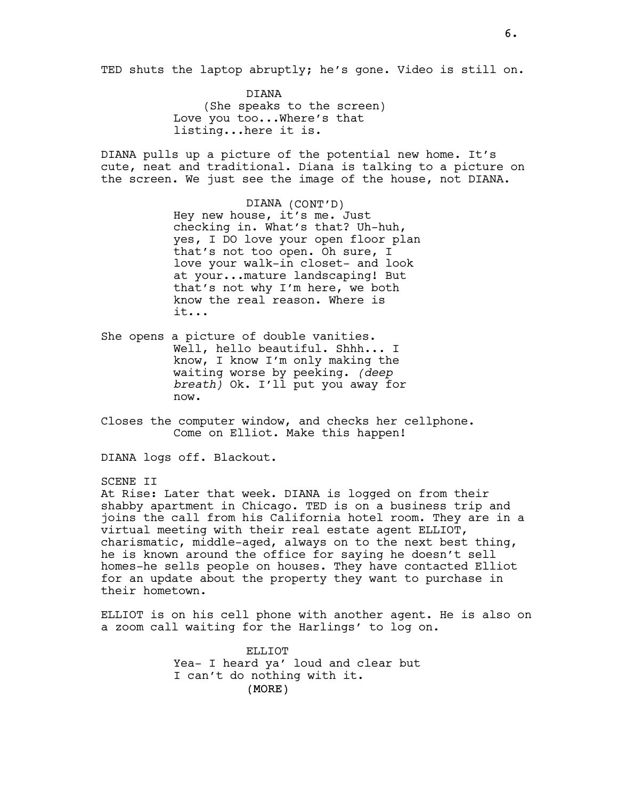TED shuts the laptop abruptly; he's gone. Video is still on.

DIANA (She speaks to the screen) Love you too...Where's that listing...here it is.

DIANA pulls up a picture of the potential new home. It's cute, neat and traditional. Diana is talking to a picture on the screen. We just see the image of the house, not DIANA.

> DIANA (CONT'D) Hey new house, it's me. Just checking in. What's that? Uh-huh, yes, I DO love your open floor plan that's not too open. Oh sure, I love your walk-in closet- and look at your...mature landscaping! But that's not why I'm here, we both know the real reason. Where is it...

She opens a picture of double vanities. Well, hello beautiful. Shhh... I know, I know I'm only making the waiting worse by peeking. (deep breath) Ok. I'll put you away for now.

Closes the computer window, and checks her cellphone. Come on Elliot. Make this happen!

DIANA logs off. Blackout.

SCENE II

At Rise: Later that week. DIANA is logged on from their shabby apartment in Chicago. TED is on a business trip and joins the call from his California hotel room. They are in a virtual meeting with their real estate agent ELLIOT, charismatic, middle-aged, always on to the next best thing, he is known around the office for saying he doesn't sell homes-he sells people on houses. They have contacted Elliot for an update about the property they want to purchase in their hometown.

ELLIOT is on his cell phone with another agent. He is also on a zoom call waiting for the Harlings' to log on.

> (MORE) ELLIOT Yea- I heard ya' loud and clear but I can't do nothing with it.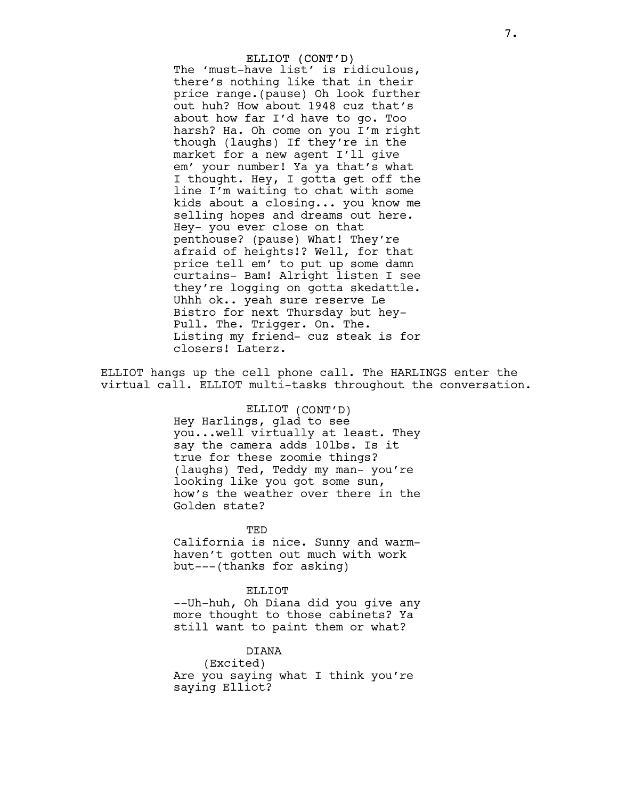## ELLIOT (CONT'D)

The 'must-have list' is ridiculous, there's nothing like that in their price range.(pause) Oh look further out huh? How about 1948 cuz that's about how far I'd have to go. Too harsh? Ha. Oh come on you I'm right though (laughs) If they're in the market for a new agent I'll give em' your number! Ya ya that's what I thought. Hey, I gotta get off the line I'm waiting to chat with some kids about a closing... you know me selling hopes and dreams out here. Hey- you ever close on that penthouse? (pause) What! They're afraid of heights!? Well, for that price tell em' to put up some damn curtains- Bam! Alright listen I see they're logging on gotta skedattle. Uhhh ok.. yeah sure reserve Le Bistro for next Thursday but hey-Pull. The. Trigger. On. The. Listing my friend- cuz steak is for closers! Laterz.

ELLIOT hangs up the cell phone call. The HARLINGS enter the virtual call. ELLIOT multi-tasks throughout the conversation.

> ELLIOT (CONT'D) Hey Harlings, glad to see you...well virtually at least. They say the camera adds 10lbs. Is it true for these zoomie things? (laughs) Ted, Teddy my man- you're looking like you got some sun, how's the weather over there in the Golden state?

> TED California is nice. Sunny and warmhaven't gotten out much with work but---(thanks for asking)

# ELLIOT

--Uh-huh, Oh Diana did you give any more thought to those cabinets? Ya still want to paint them or what?

#### DIANA

(Excited) Are you saying what I think you're saying Elliot?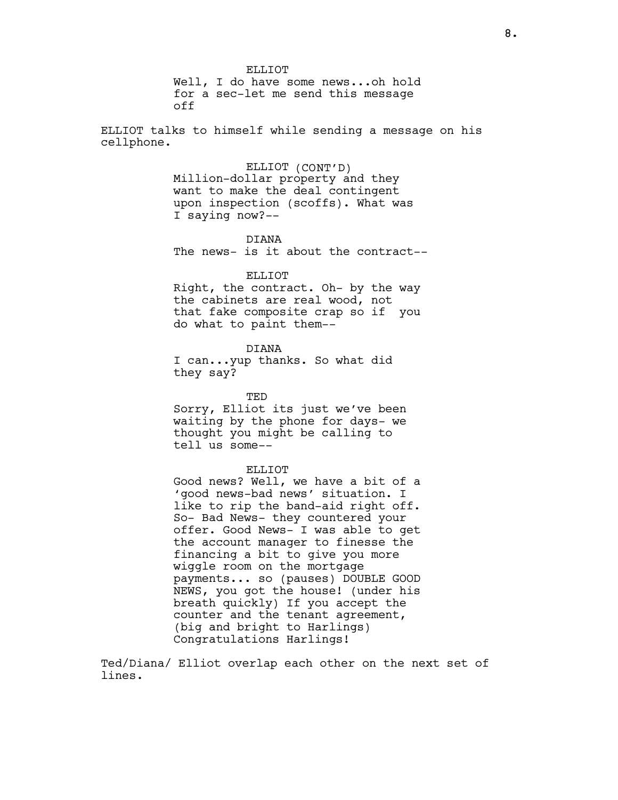ELLIOT. Well, I do have some news...oh hold for a sec-let me send this message off

ELLIOT talks to himself while sending a message on his cellphone.

ELLIOT (CONT'D)

Million-dollar property and they want to make the deal contingent upon inspection (scoffs). What was I saying now?--

DIANA The news- is it about the contract--

ELLIOT

Right, the contract. Oh- by the way the cabinets are real wood, not that fake composite crap so if you do what to paint them--

DIANA

I can...yup thanks. So what did they say?

TED

Sorry, Elliot its just we've been waiting by the phone for days- we thought you might be calling to tell us some--

#### ELLIOT

Good news? Well, we have a bit of a 'good news-bad news' situation. I like to rip the band-aid right off. So- Bad News- they countered your offer. Good News- I was able to get the account manager to finesse the financing a bit to give you more wiggle room on the mortgage payments... so (pauses) DOUBLE GOOD NEWS, you got the house! (under his breath quickly) If you accept the counter and the tenant agreement, (big and bright to Harlings) Congratulations Harlings!

Ted/Diana/ Elliot overlap each other on the next set of lines.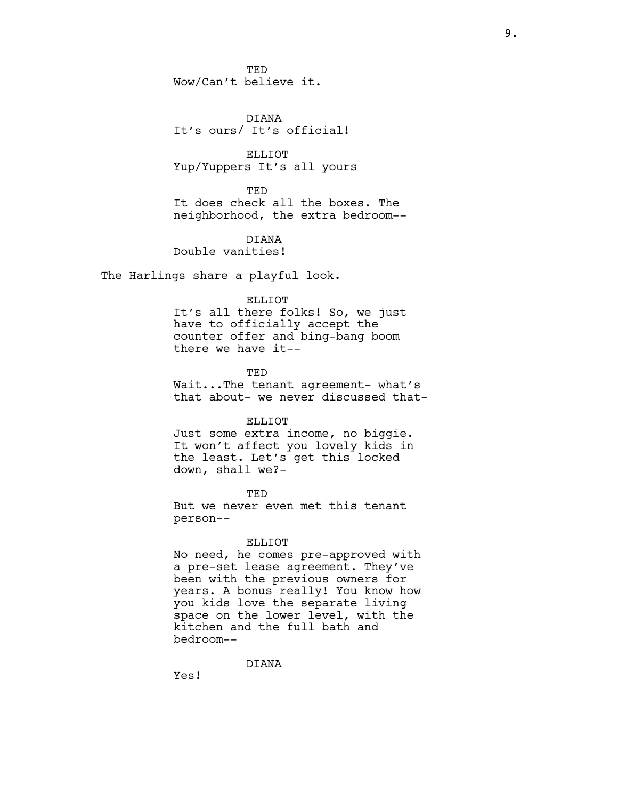**TED** Wow/Can't believe it.

DIANA It's ours/ It's official!

ELLIOT Yup/Yuppers It's all yours

**TED** It does check all the boxes. The neighborhood, the extra bedroom--

DIANA Double vanities!

The Harlings share a playful look.

## ELLIOT

It's all there folks! So, we just have to officially accept the counter offer and bing-bang boom there we have it--

TED Wait...The tenant agreement- what's that about- we never discussed that-

#### ELLIOT

Just some extra income, no biggie. It won't affect you lovely kids in the least. Let's get this locked down, shall we?-

**TED** 

But we never even met this tenant person--

### ELLIOT

No need, he comes pre-approved with a pre-set lease agreement. They've been with the previous owners for years. A bonus really! You know how you kids love the separate living space on the lower level, with the kitchen and the full bath and bedroom--

DIANA

Yes!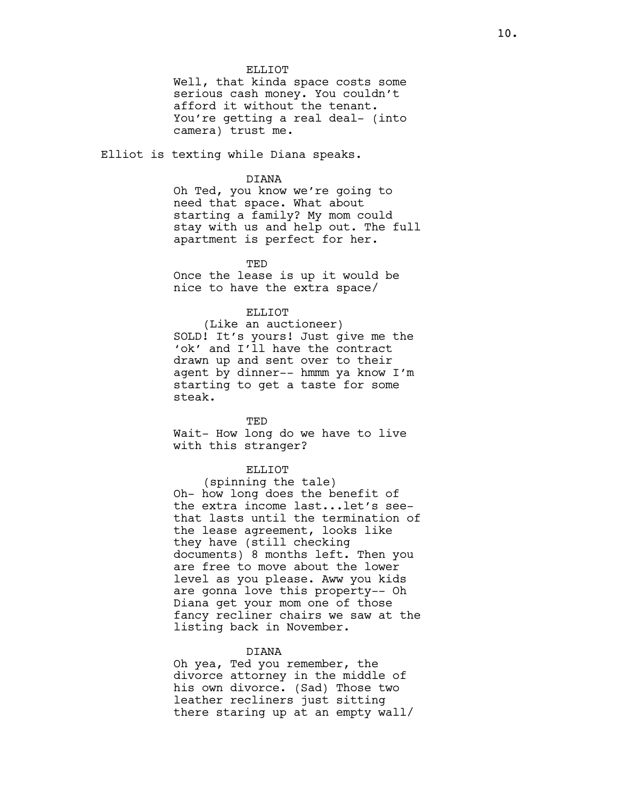#### ELLIOT

Well, that kinda space costs some serious cash money. You couldn't afford it without the tenant. You're getting a real deal- (into camera) trust me.

Elliot is texting while Diana speaks.

## DIANA

Oh Ted, you know we're going to need that space. What about starting a family? My mom could stay with us and help out. The full apartment is perfect for her.

TED

Once the lease is up it would be nice to have the extra space/

#### ELLIOT

(Like an auctioneer) SOLD! It's yours! Just give me the 'ok' and I'll have the contract drawn up and sent over to their agent by dinner-- hmmm ya know I'm starting to get a taste for some steak.

#### TED

Wait- How long do we have to live with this stranger?

#### ELLIOT

(spinning the tale) Oh- how long does the benefit of the extra income last...let's seethat lasts until the termination of the lease agreement, looks like they have (still checking documents) 8 months left. Then you are free to move about the lower level as you please. Aww you kids are gonna love this property-- Oh Diana get your mom one of those fancy recliner chairs we saw at the listing back in November.

#### DIANA

Oh yea, Ted you remember, the divorce attorney in the middle of his own divorce. (Sad) Those two leather recliners just sitting there staring up at an empty wall/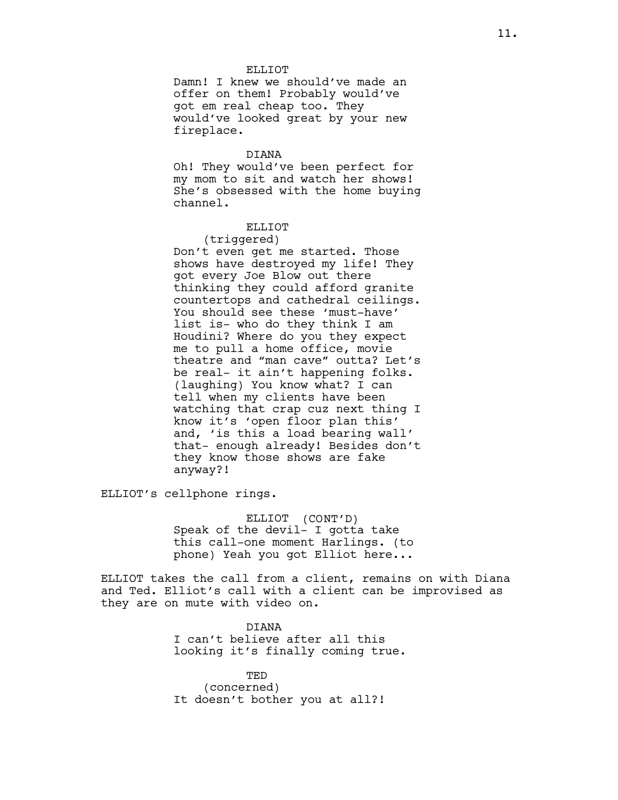#### ELLIOT.

Damn! I knew we should've made an offer on them! Probably would've got em real cheap too. They would've looked great by your new fireplace.

## DIANA

Oh! They would've been perfect for my mom to sit and watch her shows! She's obsessed with the home buying channel.

## ELLIOT

## (triggered)

Don't even get me started. Those shows have destroyed my life! They got every Joe Blow out there thinking they could afford granite countertops and cathedral ceilings. You should see these 'must-have' list is- who do they think I am Houdini? Where do you they expect me to pull a home office, movie theatre and "man cave" outta? Let's be real- it ain't happening folks. (laughing) You know what? I can tell when my clients have been watching that crap cuz next thing I know it's 'open floor plan this' and, 'is this a load bearing wall' that- enough already! Besides don't they know those shows are fake anyway?!

ELLIOT's cellphone rings.

ELLIOT (CONT'D) Speak of the devil- I gotta take this call-one moment Harlings. (to phone) Yeah you got Elliot here...

ELLIOT takes the call from a client, remains on with Diana and Ted. Elliot's call with a client can be improvised as they are on mute with video on.

> DIANA I can't believe after all this looking it's finally coming true.

TED (concerned) It doesn't bother you at all?!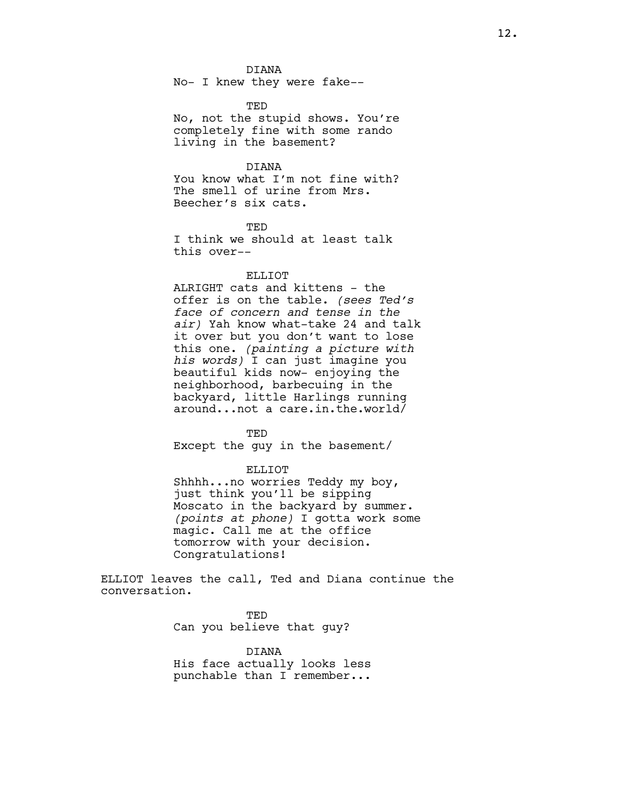### DIANA

No- I knew they were fake--

TED No, not the stupid shows. You're completely fine with some rando living in the basement?

## DIANA

You know what I'm not fine with? The smell of urine from Mrs. Beecher's six cats.

**TED** 

I think we should at least talk this over--

### ELLIOT

ALRIGHT cats and kittens - the offer is on the table. (sees Ted's face of concern and tense in the air) Yah know what-take 24 and talk it over but you don't want to lose this one. (painting a picture with his words) I can just imagine you beautiful kids now- enjoying the neighborhood, barbecuing in the backyard, little Harlings running around...not a care.in.the.world/

TED

Except the guy in the basement/

ELLIOT

Shhhh...no worries Teddy my boy, just think you'll be sipping Moscato in the backyard by summer. (points at phone) I gotta work some magic. Call me at the office tomorrow with your decision. Congratulations!

ELLIOT leaves the call, Ted and Diana continue the conversation.

> TED Can you believe that guy?

DIANA His face actually looks less punchable than I remember...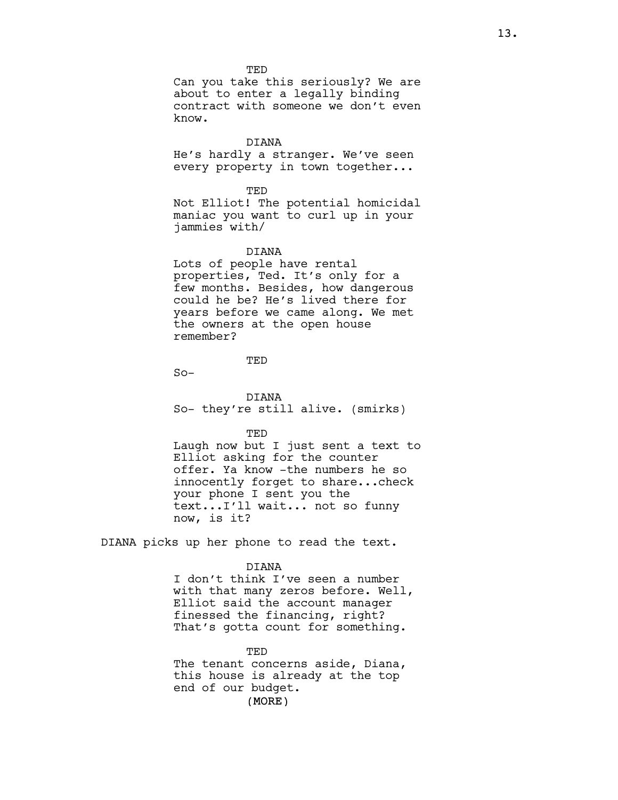**TED** 

Can you take this seriously? We are about to enter a legally binding contract with someone we don't even know.

### DIANA

He's hardly a stranger. We've seen every property in town together...

#### TED

Not Elliot! The potential homicidal maniac you want to curl up in your jammies with/

## DIANA

Lots of people have rental properties, Ted. It's only for a few months. Besides, how dangerous could he be? He's lived there for years before we came along. We met the owners at the open house remember?

## **TED**

 $So-$ 

DIANA So- they're still alive. (smirks)

#### TED

Laugh now but I just sent a text to Elliot asking for the counter offer. Ya know -the numbers he so innocently forget to share...check your phone I sent you the text...I'll wait... not so funny now, is it?

DIANA picks up her phone to read the text.

#### DIANA

I don't think I've seen a number with that many zeros before. Well, Elliot said the account manager finessed the financing, right? That's gotta count for something.

## TED

(MORE) The tenant concerns aside, Diana, this house is already at the top end of our budget.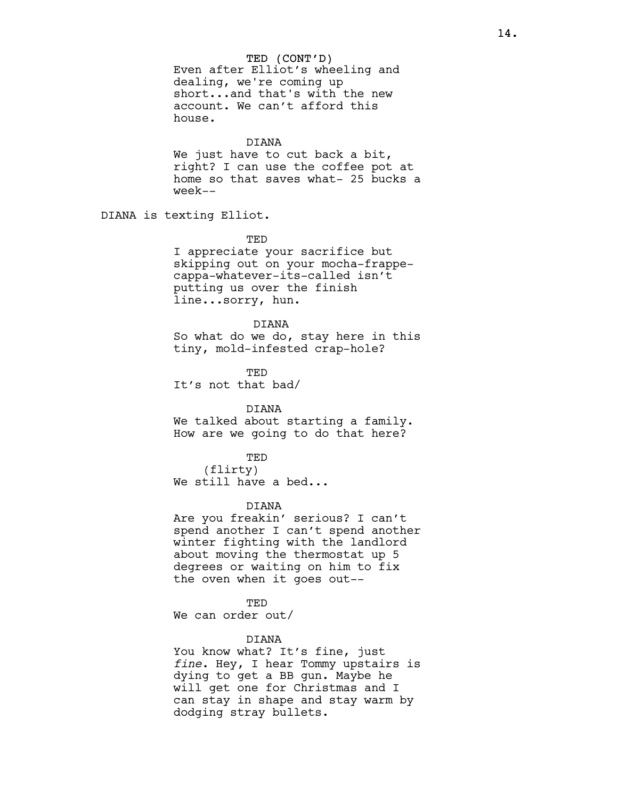### TED (CONT'D)

Even after Elliot's wheeling and dealing, we're coming up short...and that's with the new account. We can't afford this house.

## DIANA

We just have to cut back a bit, right? I can use the coffee pot at home so that saves what- 25 bucks a week--

DIANA is texting Elliot.

TED

I appreciate your sacrifice but skipping out on your mocha-frappecappa-whatever-its-called isn't putting us over the finish line...sorry, hun.

## DIANA

So what do we do, stay here in this tiny, mold-infested crap-hole?

TED It's not that bad/

## DIANA

We talked about starting a family. How are we going to do that here?

TED

(flirty) We still have a bed...

## DIANA

Are you freakin' serious? I can't spend another I can't spend another winter fighting with the landlord about moving the thermostat up 5 degrees or waiting on him to fix the oven when it goes out--

TED

We can order out/

#### DIANA

You know what? It's fine, just fine. Hey, I hear Tommy upstairs is dying to get a BB gun. Maybe he will get one for Christmas and I can stay in shape and stay warm by dodging stray bullets.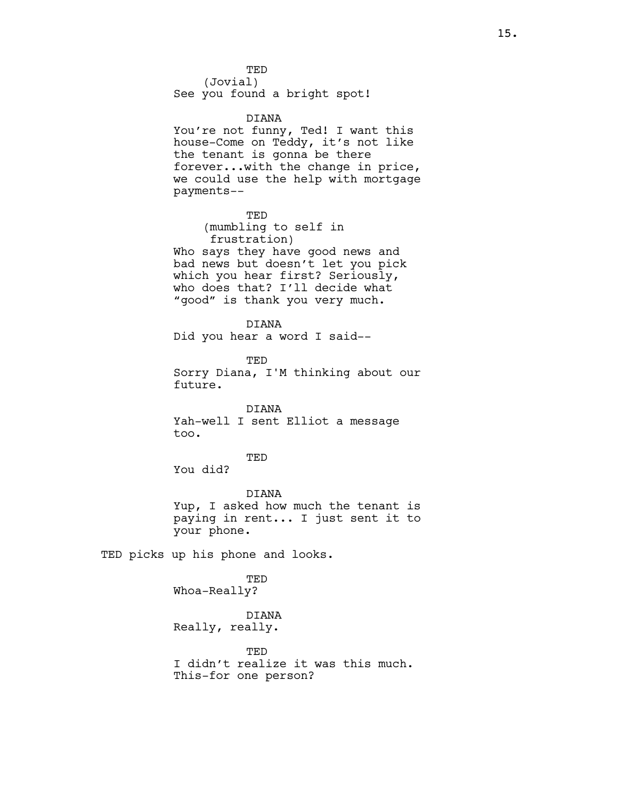**TED** 

(Jovial) See you found a bright spot!

DIANA

You're not funny, Ted! I want this house-Come on Teddy, it's not like the tenant is gonna be there forever...with the change in price, we could use the help with mortgage payments--

TED

(mumbling to self in frustration) Who says they have good news and bad news but doesn't let you pick which you hear first? Seriously, who does that? I'll decide what "good" is thank you very much.

DIANA

Did you hear a word I said--

**TED** 

Sorry Diana, I'M thinking about our future.

DIANA

Yah-well I sent Elliot a message too.

### TED

You did?

DIANA Yup, I asked how much the tenant is paying in rent... I just sent it to your phone.

TED picks up his phone and looks.

TED Whoa-Really?

# DIANA

Really, really.

TED I didn't realize it was this much. This-for one person?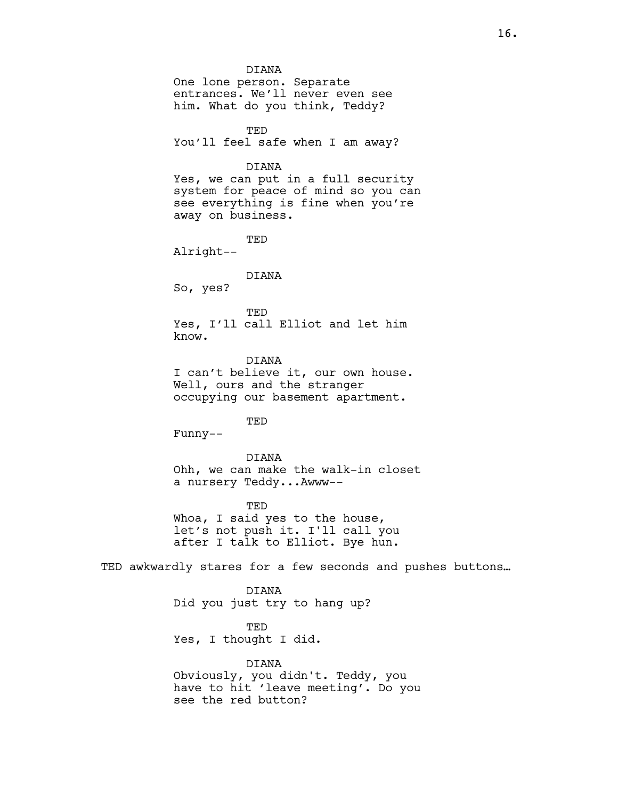#### DIANA

One lone person. Separate entrances. We'll never even see him. What do you think, Teddy?

TED You'll feel safe when I am away?

#### DIANA

Yes, we can put in a full security system for peace of mind so you can see everything is fine when you're away on business.

TED

Alright--

### DIANA

So, yes?

### TED

Yes, I'll call Elliot and let him know.

DIANA

I can't believe it, our own house. Well, ours and the stranger occupying our basement apartment.

TED

Funny--

DIANA Ohh, we can make the walk-in closet a nursery Teddy...Awww--

TED Whoa, I said yes to the house, let's not push it. I'll call you after I talk to Elliot. Bye hun.

TED awkwardly stares for a few seconds and pushes buttons…

DIANA Did you just try to hang up?

TED

Yes, I thought I did.

DIANA

Obviously, you didn't. Teddy, you have to hit 'leave meeting'. Do you see the red button?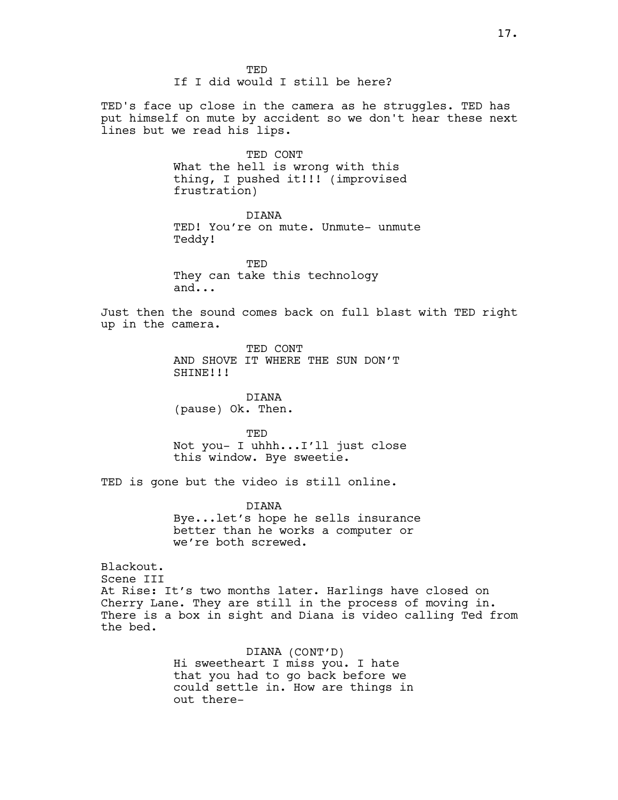TED's face up close in the camera as he struggles. TED has put himself on mute by accident so we don't hear these next lines but we read his lips.

> TED CONT What the hell is wrong with this thing, I pushed it!!! (improvised frustration)

DIANA TED! You're on mute. Unmute- unmute Teddy!

TED They can take this technology and...

Just then the sound comes back on full blast with TED right up in the camera.

> TED CONT AND SHOVE IT WHERE THE SUN DON'T SHINE!!!

DIANA (pause) Ok. Then.

TED Not you- I uhhh...I'll just close this window. Bye sweetie.

TED is gone but the video is still online.

DIANA Bye...let's hope he sells insurance better than he works a computer or we're both screwed.

Blackout. Scene III At Rise: It's two months later. Harlings have closed on Cherry Lane. They are still in the process of moving in. There is a box in sight and Diana is video calling Ted from the bed.

> DIANA (CONT'D) Hi sweetheart I miss you. I hate that you had to go back before we could settle in. How are things in out there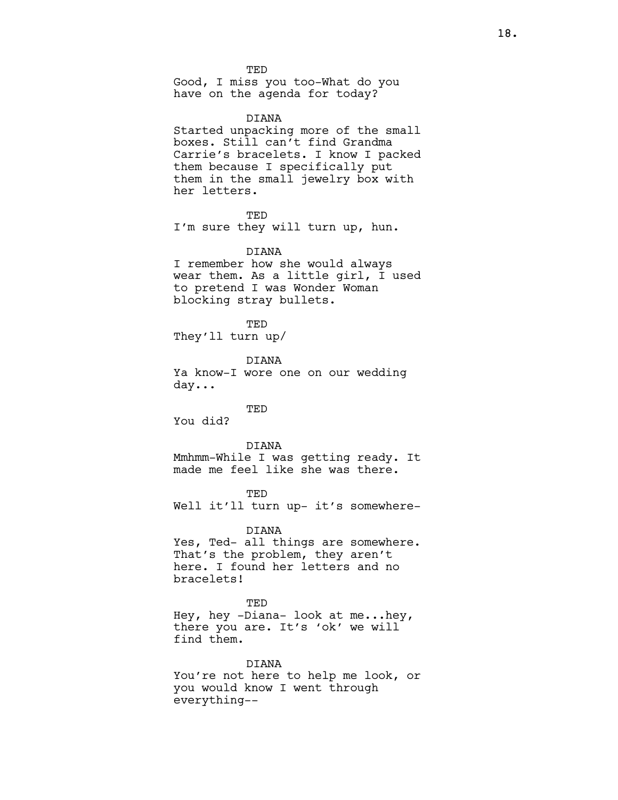TED

Good, I miss you too-What do you have on the agenda for today?

### DIANA

Started unpacking more of the small boxes. Still can't find Grandma Carrie's bracelets. I know I packed them because I specifically put them in the small jewelry box with her letters.

TED

I'm sure they will turn up, hun.

#### DIANA

I remember how she would always wear them. As a little girl, I used to pretend I was Wonder Woman blocking stray bullets.

TED They'll turn up/

DIANA

Ya know-I wore one on our wedding day...

**TED** 

You did?

### DIANA

Mmhmm-While I was getting ready. It made me feel like she was there.

#### **TED**

Well it'll turn up- it's somewhere-

#### DIANA

Yes, Ted- all things are somewhere. That's the problem, they aren't here. I found her letters and no bracelets!

#### **TED**

Hey, hey -Diana- look at me...hey, there you are. It's 'ok' we will find them.

#### DIANA

You're not here to help me look, or you would know I went through everything--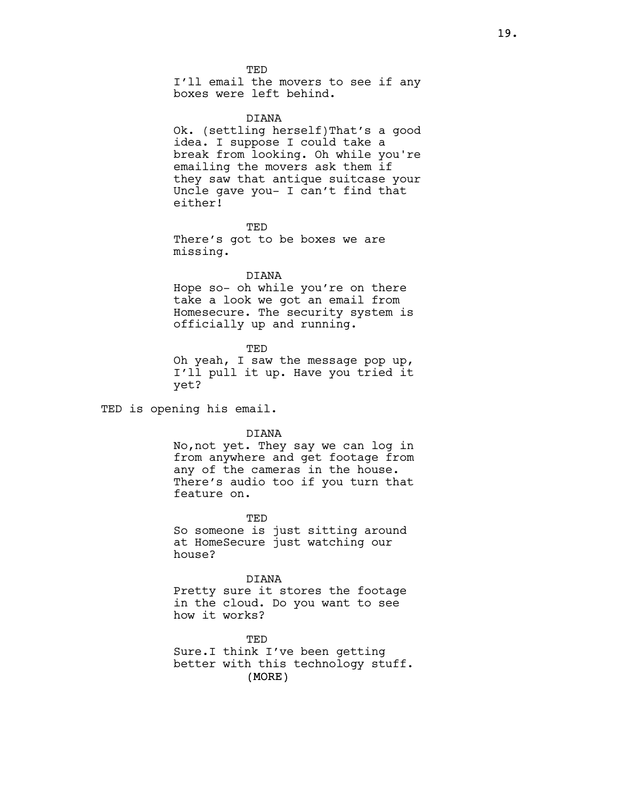**TED** I'll email the movers to see if any boxes were left behind.

#### DIANA

Ok. (settling herself)That's a good idea. I suppose I could take a break from looking. Oh while you're emailing the movers ask them if they saw that antique suitcase your Uncle gave you- I can't find that either!

**TED** 

There's got to be boxes we are missing.

### DIANA

Hope so- oh while you're on there take a look we got an email from Homesecure. The security system is officially up and running.

TED

Oh yeah, I saw the message pop up, I'll pull it up. Have you tried it yet?

TED is opening his email.

DIANA

No,not yet. They say we can log in from anywhere and get footage from any of the cameras in the house. There's audio too if you turn that feature on.

TED

So someone is just sitting around at HomeSecure just watching our house?

DIANA Pretty sure it stores the footage in the cloud. Do you want to see how it works?

(MORE) TED Sure.I think I've been getting better with this technology stuff.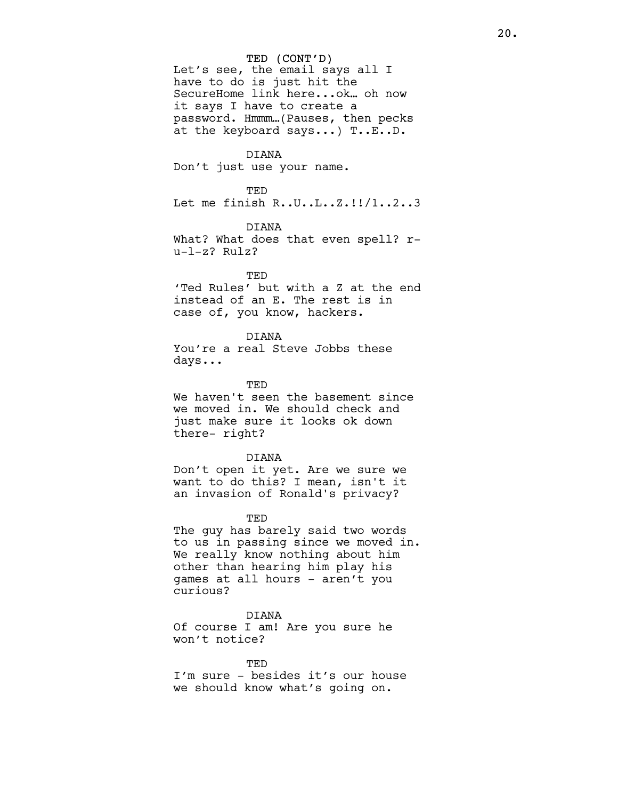#### TED (CONT'D)

Let's see, the email says all I have to do is just hit the SecureHome link here...ok… oh now it says I have to create a password. Hmmm…(Pauses, then pecks at the keyboard says...) T..E..D.

## DIANA

Don't just use your name.

#### TED

Let me finish R..U..L..Z.!!/1..2..3

### DIANA

What? What does that even spell? ru-l-z? Rulz?

#### TED

'Ted Rules' but with a Z at the end instead of an E. The rest is in case of, you know, hackers.

## DIANA You're a real Steve Jobbs these days...

#### TED

We haven't seen the basement since we moved in. We should check and just make sure it looks ok down there- right?

#### DIANA

Don't open it yet. Are we sure we want to do this? I mean, isn't it an invasion of Ronald's privacy?

#### TED

The guy has barely said two words to us in passing since we moved in. We really know nothing about him other than hearing him play his games at all hours - aren't you curious?

#### DIANA

Of course I am! Are you sure he won't notice?

#### **TED**

I'm sure - besides it's our house we should know what's going on.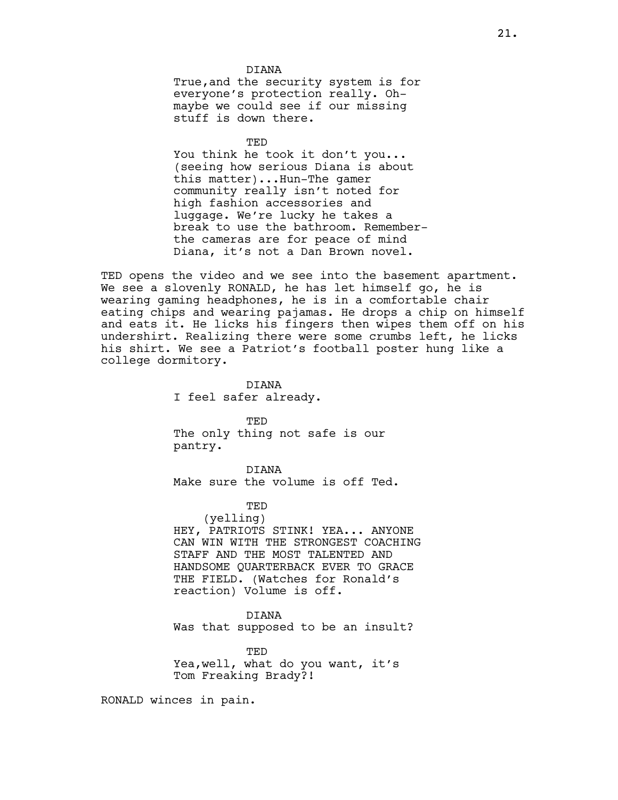DIANA True,and the security system is for everyone's protection really. Ohmaybe we could see if our missing stuff is down there.

TED

You think he took it don't you... (seeing how serious Diana is about this matter)...Hun-The gamer community really isn't noted for high fashion accessories and luggage. We're lucky he takes a break to use the bathroom. Rememberthe cameras are for peace of mind Diana, it's not a Dan Brown novel.

TED opens the video and we see into the basement apartment. We see a slovenly RONALD, he has let himself go, he is wearing gaming headphones, he is in a comfortable chair eating chips and wearing pajamas. He drops a chip on himself and eats it. He licks his fingers then wipes them off on his undershirt. Realizing there were some crumbs left, he licks his shirt. We see a Patriot's football poster hung like a college dormitory.

> DIANA I feel safer already.

TED The only thing not safe is our pantry.

DIANA Make sure the volume is off Ted.

TED

(yelling) HEY, PATRIOTS STINK! YEA... ANYONE CAN WIN WITH THE STRONGEST COACHING STAFF AND THE MOST TALENTED AND HANDSOME QUARTERBACK EVER TO GRACE THE FIELD. (Watches for Ronald's reaction) Volume is off.

#### DIANA

Was that supposed to be an insult?

TED Yea,well, what do you want, it's Tom Freaking Brady?!

RONALD winces in pain.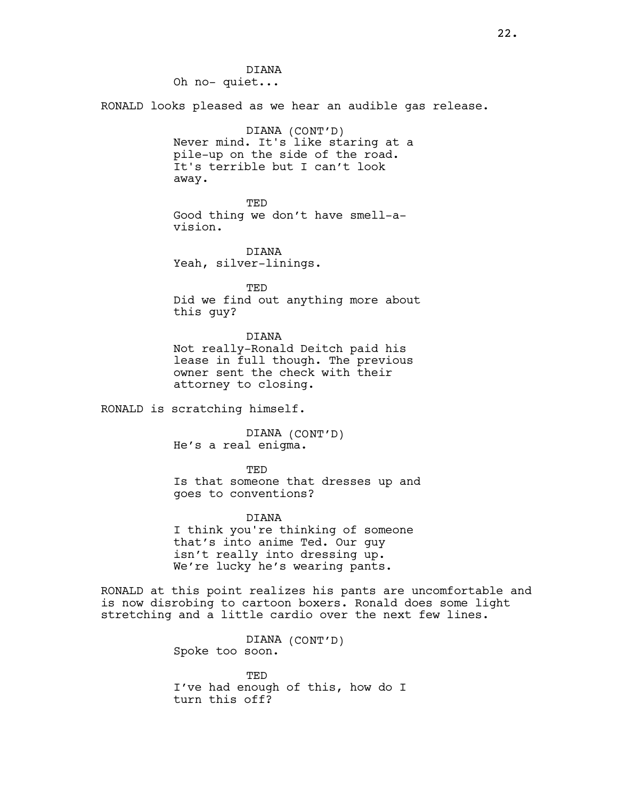DIANA Oh no- quiet... RONALD looks pleased as we hear an audible gas release. DIANA (CONT'D) Never mind. It's like staring at a pile-up on the side of the road. It's terrible but I can't look away. TED Good thing we don't have smell-avision. DIANA Yeah, silver-linings. TED Did we find out anything more about this guy? DIANA Not really-Ronald Deitch paid his lease in full though. The previous owner sent the check with their attorney to closing. RONALD is scratching himself. DIANA (CONT'D) He's a real enigma. TED Is that someone that dresses up and goes to conventions? DIANA I think you're thinking of someone that's into anime Ted. Our guy isn't really into dressing up. We're lucky he's wearing pants. RONALD at this point realizes his pants are uncomfortable and is now disrobing to cartoon boxers. Ronald does some light stretching and a little cardio over the next few lines. DIANA (CONT'D) Spoke too soon.

> TED I've had enough of this, how do I turn this off?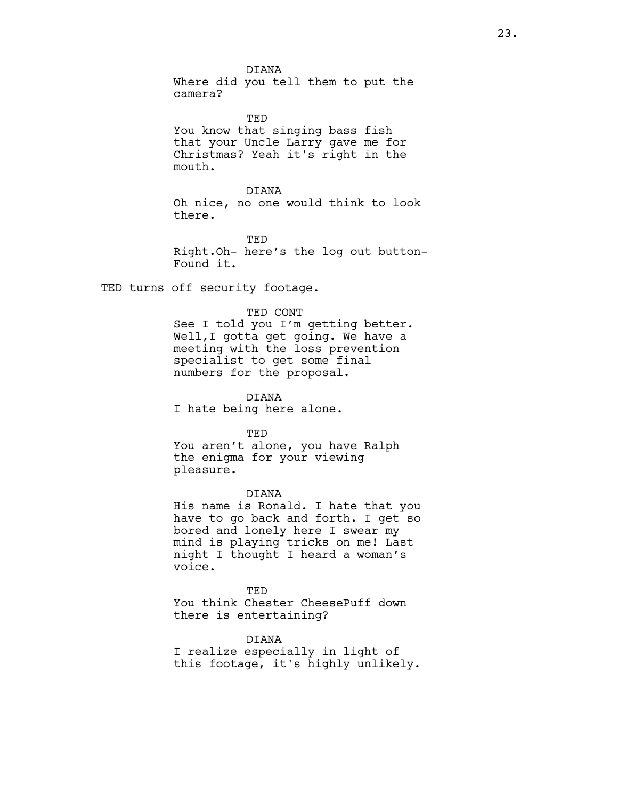DIANA Where did you tell them to put the camera?

TED You know that singing bass fish that your Uncle Larry gave me for Christmas? Yeah it's right in the mouth.

## DIANA Oh nice, no one would think to look there.

TED Right.Oh- here's the log out button-Found it.

TED turns off security footage.

### TED CONT

See I told you I'm getting better. Well,I gotta get going. We have a meeting with the loss prevention specialist to get some final numbers for the proposal.

DIANA I hate being here alone.

TED

You aren't alone, you have Ralph the enigma for your viewing pleasure.

### DIANA

His name is Ronald. I hate that you have to go back and forth. I get so bored and lonely here I swear my mind is playing tricks on me! Last night I thought I heard a woman's voice.

**TED** You think Chester CheesePuff down there is entertaining?

DIANA

I realize especially in light of this footage, it's highly unlikely.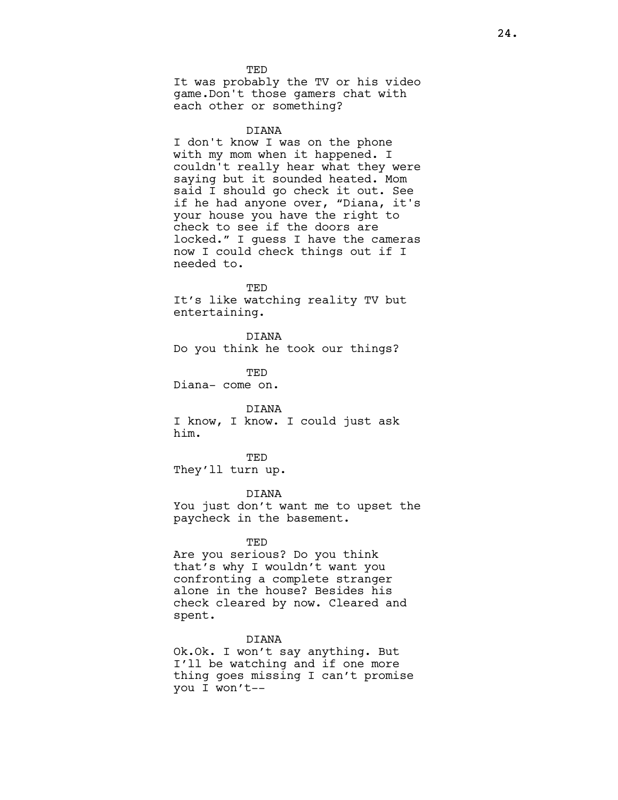**TED** It was probably the TV or his video game.Don't those gamers chat with each other or something?

#### DIANA

I don't know I was on the phone with my mom when it happened. I couldn't really hear what they were saying but it sounded heated. Mom said I should go check it out. See if he had anyone over, "Diana, it's your house you have the right to check to see if the doors are locked." I guess I have the cameras now I could check things out if I needed to.

**TED** It's like watching reality TV but entertaining.

DIANA Do you think he took our things?

TED Diana- come on.

#### DIANA

I know, I know. I could just ask him.

TED They'll turn up.

#### DIANA

You just don't want me to upset the paycheck in the basement.

#### TED

Are you serious? Do you think that's why I wouldn't want you confronting a complete stranger alone in the house? Besides his check cleared by now. Cleared and spent.

### DIANA

Ok.Ok. I won't say anything. But I'll be watching and if one more thing goes missing I can't promise you I won't--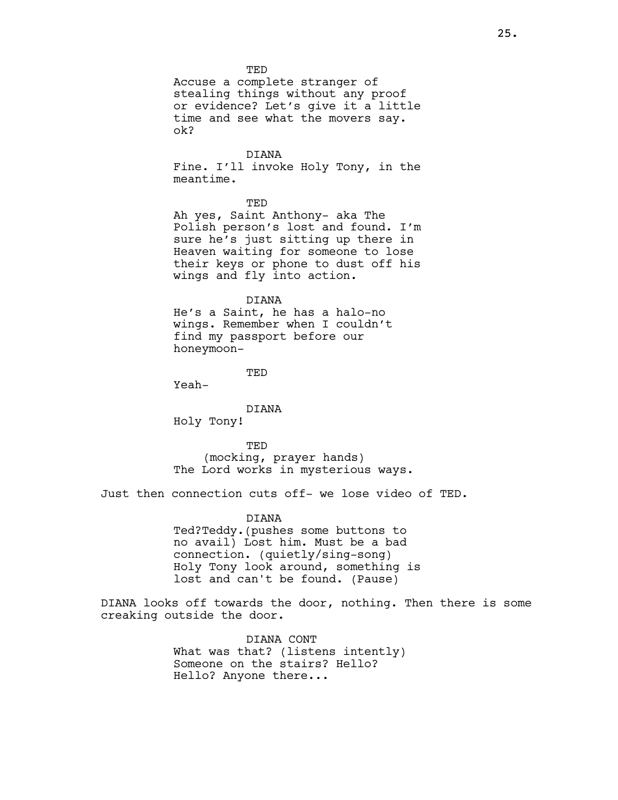**TED** 

Accuse a complete stranger of stealing things without any proof or evidence? Let's give it a little time and see what the movers say. ok?

## DIANA

Fine. I'll invoke Holy Tony, in the meantime.

**TED** 

Ah yes, Saint Anthony- aka The Polish person's lost and found. I'm sure he's just sitting up there in Heaven waiting for someone to lose their keys or phone to dust off his wings and fly into action.

#### DIANA

He's a Saint, he has a halo-no wings. Remember when I couldn't find my passport before our honeymoon-

TED

Yeah-

DIANA

Holy Tony!

TED

(mocking, prayer hands) The Lord works in mysterious ways.

Just then connection cuts off- we lose video of TED.

## DIANA

Ted?Teddy.(pushes some buttons to no avail) Lost him. Must be a bad connection. (quietly/sing-song) Holy Tony look around, something is lost and can't be found. (Pause)

DIANA looks off towards the door, nothing. Then there is some creaking outside the door.

> DIANA CONT What was that? (listens intently) Someone on the stairs? Hello? Hello? Anyone there...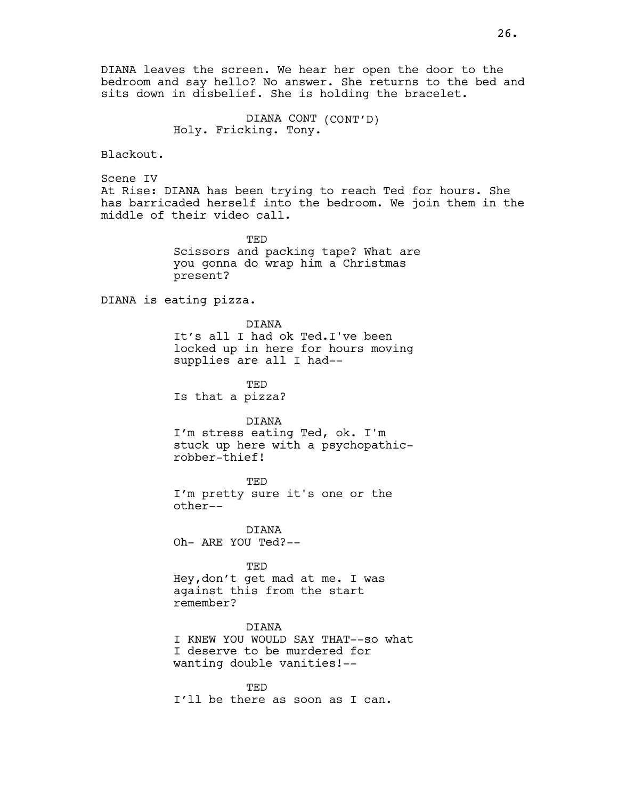26.

DIANA leaves the screen. We hear her open the door to the bedroom and say hello? No answer. She returns to the bed and sits down in disbelief. She is holding the bracelet.

> DIANA CONT (CONT'D) Holy. Fricking. Tony.

Blackout.

Scene IV At Rise: DIANA has been trying to reach Ted for hours. She has barricaded herself into the bedroom. We join them in the middle of their video call.

> TED Scissors and packing tape? What are you gonna do wrap him a Christmas present?

DIANA is eating pizza.

DIANA It's all I had ok Ted.I've been locked up in here for hours moving supplies are all I had--

TED Is that a pizza?

DIANA

I'm stress eating Ted, ok. I'm stuck up here with a psychopathicrobber-thief!

TED I'm pretty sure it's one or the other--

DIANA Oh- ARE YOU Ted?--

TED Hey,don't get mad at me. I was against this from the start remember?

DIANA I KNEW YOU WOULD SAY THAT--so what I deserve to be murdered for wanting double vanities!--

TED I'll be there as soon as I can.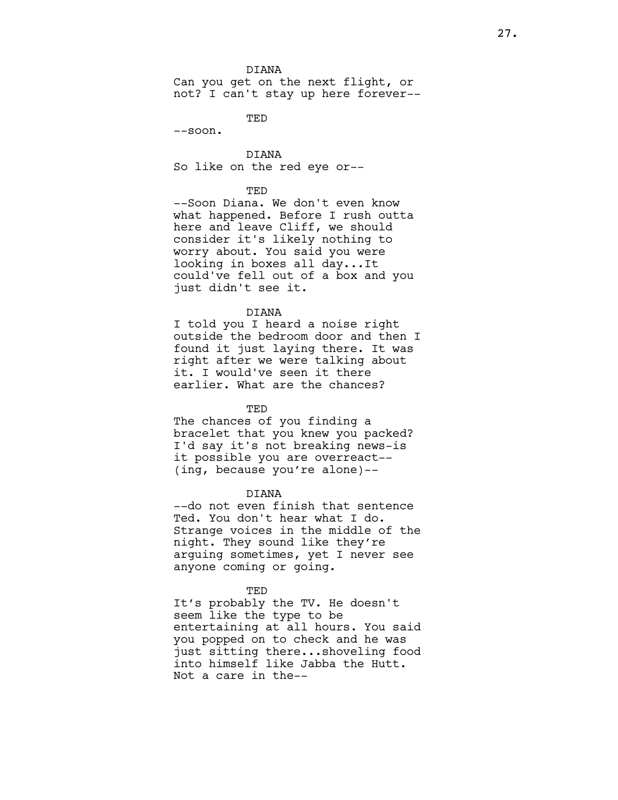#### DIANA

Can you get on the next flight, or not? I can't stay up here forever--

TED

--soon.

DIANA So like on the red eye or--

#### TED

--Soon Diana. We don't even know what happened. Before I rush outta here and leave Cliff, we should consider it's likely nothing to worry about. You said you were looking in boxes all day...It could've fell out of a box and you just didn't see it.

#### DIANA

I told you I heard a noise right outside the bedroom door and then I found it just laying there. It was right after we were talking about it. I would've seen it there earlier. What are the chances?

#### **TED**

The chances of you finding a bracelet that you knew you packed? I'd say it's not breaking news-is it possible you are overreact-- (ing, because you're alone)--

### DIANA

--do not even finish that sentence Ted. You don't hear what I do. Strange voices in the middle of the night. They sound like they're arguing sometimes, yet I never see anyone coming or going.

#### TED

It's probably the TV. He doesn't seem like the type to be entertaining at all hours. You said you popped on to check and he was just sitting there...shoveling food into himself like Jabba the Hutt. Not a care in the--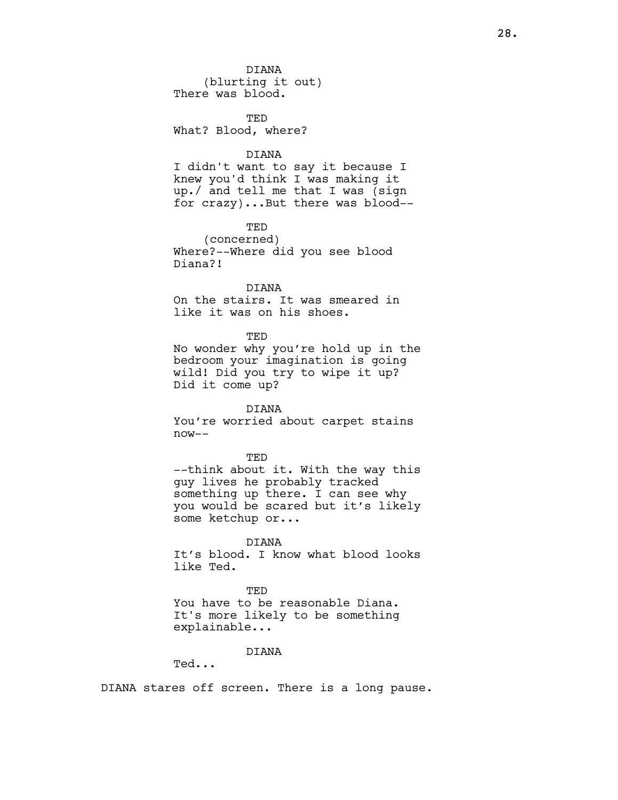DIANA (blurting it out) There was blood.

**TED** What? Blood, where?

## DIANA

I didn't want to say it because I knew you'd think I was making it up./ and tell me that I was (sign for crazy)...But there was blood--

## TED

(concerned) Where?--Where did you see blood Diana?!

DIANA On the stairs. It was smeared in like it was on his shoes.

TED No wonder why you're hold up in the bedroom your imagination is going wild! Did you try to wipe it up? Did it come up?

DIANA You're worried about carpet stains now--

TED --think about it. With the way this guy lives he probably tracked something up there. I can see why you would be scared but it's likely some ketchup or...

DIANA It's blood. I know what blood looks like Ted.

**TED** You have to be reasonable Diana. It's more likely to be something explainable...

## DIANA

Ted...

DIANA stares off screen. There is a long pause.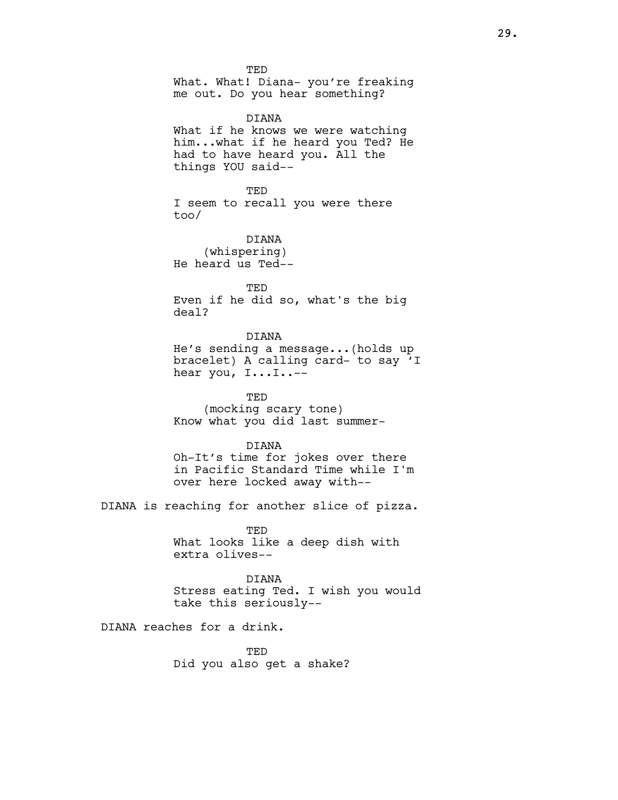**TED** What. What! Diana- you're freaking me out. Do you hear something?

DIANA What if he knows we were watching him...what if he heard you Ted? He had to have heard you. All the things YOU said--

TED I seem to recall you were there too/

DIANA (whispering) He heard us Ted--

**TED** Even if he did so, what's the big deal?

DIANA He's sending a message...(holds up bracelet) A calling card- to say 'I hear you, I...I..--

TED (mocking scary tone) Know what you did last summer-

DIANA Oh-It's time for jokes over there in Pacific Standard Time while I'm over here locked away with--

DIANA is reaching for another slice of pizza.

TED What looks like a deep dish with extra olives--

DIANA Stress eating Ted. I wish you would take this seriously--

DIANA reaches for a drink.

**TED** Did you also get a shake?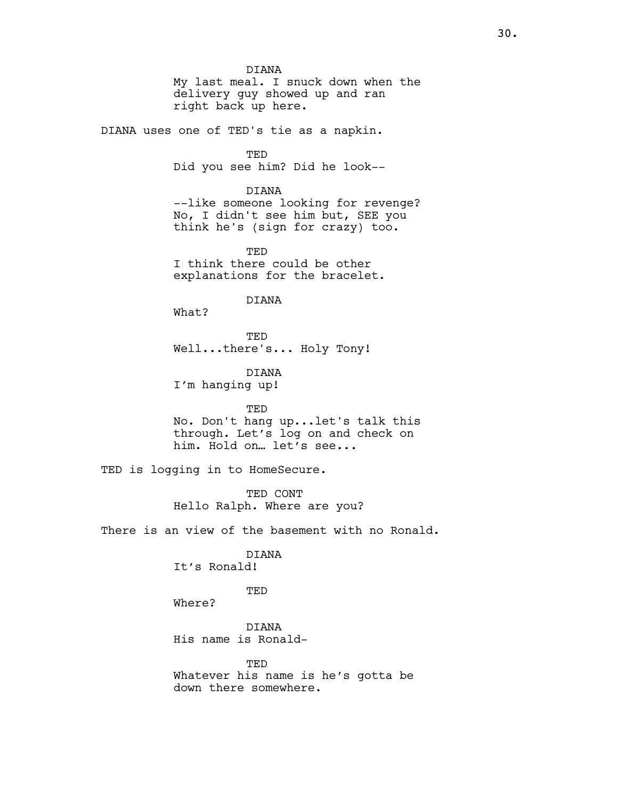DIANA My last meal. I snuck down when the delivery guy showed up and ran right back up here.

DIANA uses one of TED's tie as a napkin.

TED Did you see him? Did he look--

DIANA --like someone looking for revenge? No, I didn't see him but, SEE you think he's (sign for crazy) too.

**TED** I think there could be other explanations for the bracelet.

DIANA

What?

TED Well...there's... Holy Tony!

DIANA I'm hanging up!

TED

No. Don't hang up...let's talk this through. Let's log on and check on him. Hold on… let's see...

TED is logging in to HomeSecure.

TED CONT Hello Ralph. Where are you?

There is an view of the basement with no Ronald.

# DIANA

It's Ronald!

## TED

Where?

DIANA His name is Ronald-

**TED** Whatever his name is he's gotta be down there somewhere.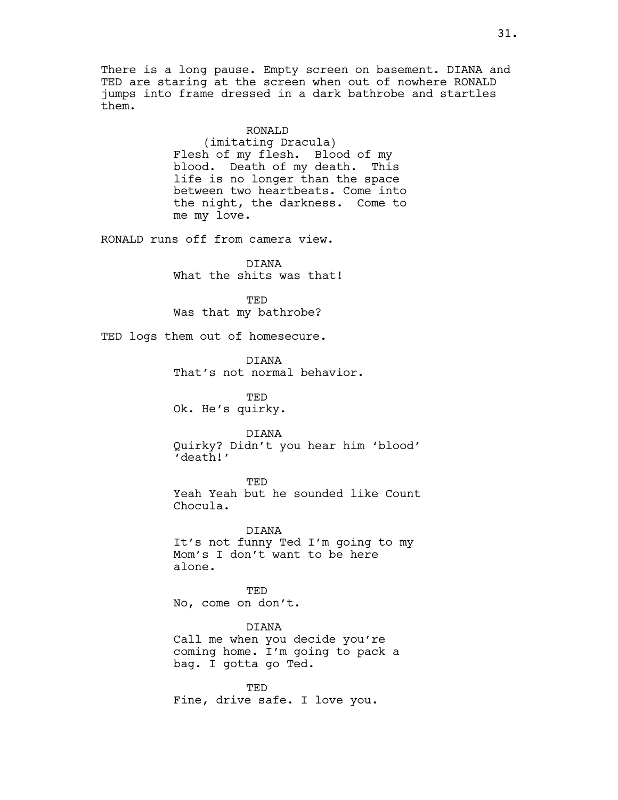There is a long pause. Empty screen on basement. DIANA and TED are staring at the screen when out of nowhere RONALD jumps into frame dressed in a dark bathrobe and startles them.

## RONALD

(imitating Dracula) Flesh of my flesh. Blood of my blood. Death of my death. This life is no longer than the space between two heartbeats. Come into the night, the darkness. Come to me my love.

RONALD runs off from camera view.

DIANA What the shits was that!

TED Was that my bathrobe?

TED logs them out of homesecure.

DIANA

That's not normal behavior.

TED Ok. He's quirky.

DIANA

Quirky? Didn't you hear him 'blood' 'death!'

TED

Yeah Yeah but he sounded like Count Chocula.

DIANA It's not funny Ted I'm going to my Mom's I don't want to be here alone.

TED No, come on don't.

DIANA Call me when you decide you're coming home. I'm going to pack a bag. I gotta go Ted.

TED Fine, drive safe. I love you.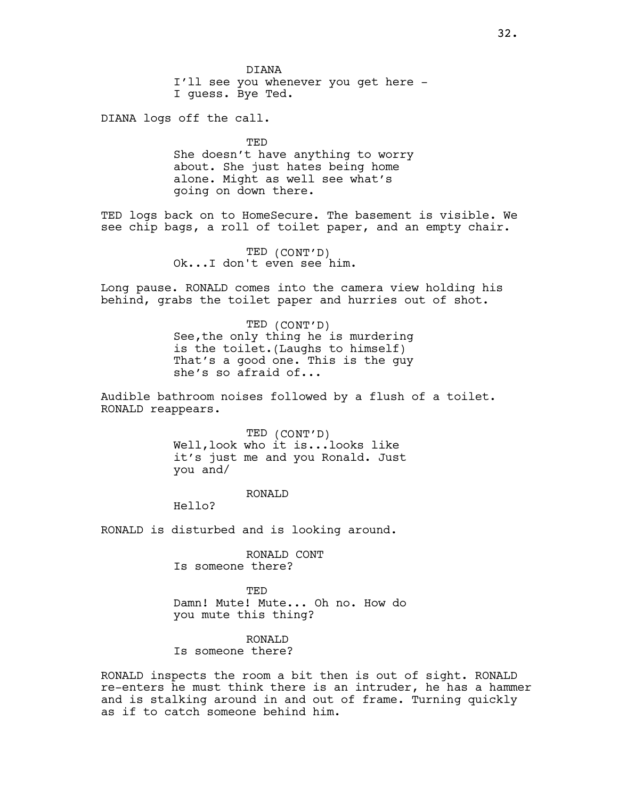DIANA I'll see you whenever you get here - I guess. Bye Ted.

DIANA logs off the call.

TED She doesn't have anything to worry about. She just hates being home alone. Might as well see what's going on down there.

TED logs back on to HomeSecure. The basement is visible. We see chip bags, a roll of toilet paper, and an empty chair.

> TED (CONT'D) Ok...I don't even see him.

Long pause. RONALD comes into the camera view holding his behind, grabs the toilet paper and hurries out of shot.

> TED (CONT'D) See,the only thing he is murdering is the toilet.(Laughs to himself) That's a good one. This is the guy she's so afraid of...

Audible bathroom noises followed by a flush of a toilet. RONALD reappears.

> TED (CONT'D) Well,look who it is...looks like it's just me and you Ronald. Just you and/

### RONALD

Hello?

RONALD is disturbed and is looking around.

RONALD CONT Is someone there?

TED Damn! Mute! Mute... Oh no. How do you mute this thing?

RONALD

Is someone there?

RONALD inspects the room a bit then is out of sight. RONALD re-enters he must think there is an intruder, he has a hammer and is stalking around in and out of frame. Turning quickly as if to catch someone behind him.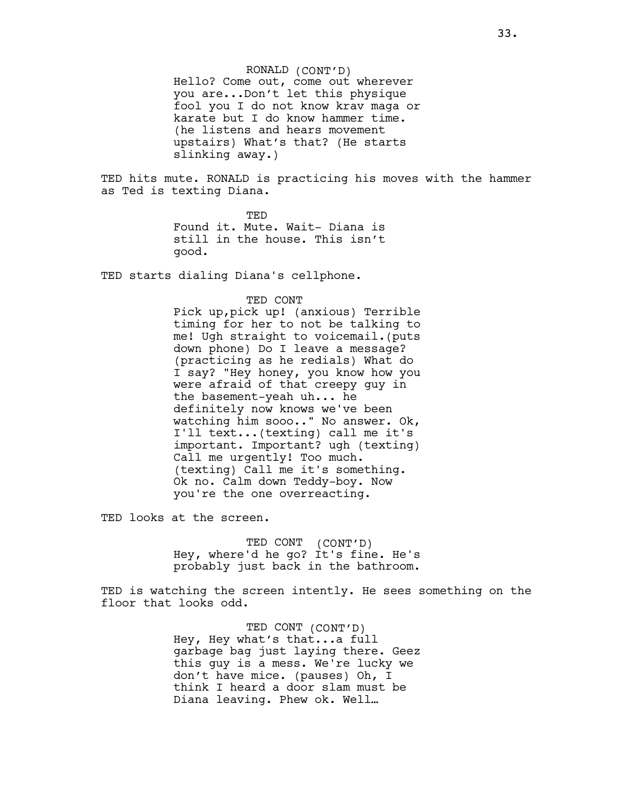RONALD (CONT'D) Hello? Come out, come out wherever you are...Don't let this physique fool you I do not know krav maga or karate but I do know hammer time. (he listens and hears movement upstairs) What's that? (He starts slinking away.)

TED hits mute. RONALD is practicing his moves with the hammer as Ted is texting Diana.

> TED Found it. Mute. Wait- Diana is still in the house. This isn't good.

TED starts dialing Diana's cellphone.

#### TED CONT

Pick up,pick up! (anxious) Terrible timing for her to not be talking to me! Ugh straight to voicemail.(puts down phone) Do I leave a message? (practicing as he redials) What do I say? "Hey honey, you know how you were afraid of that creepy guy in the basement-yeah uh... he definitely now knows we've been watching him sooo.." No answer. Ok, I'll text...(texting) call me it's important. Important? ugh (texting) Call me urgently! Too much. (texting) Call me it's something. Ok no. Calm down Teddy-boy. Now you're the one overreacting.

TED looks at the screen.

TED CONT (CONT'D) Hey, where'd he go? It's fine. He's probably just back in the bathroom.

TED is watching the screen intently. He sees something on the floor that looks odd.

> TED CONT (CONT'D) Hey, Hey what's that...a full garbage bag just laying there. Geez this guy is a mess. We're lucky we don't have mice. (pauses) Oh, I think I heard a door slam must be Diana leaving. Phew ok. Well…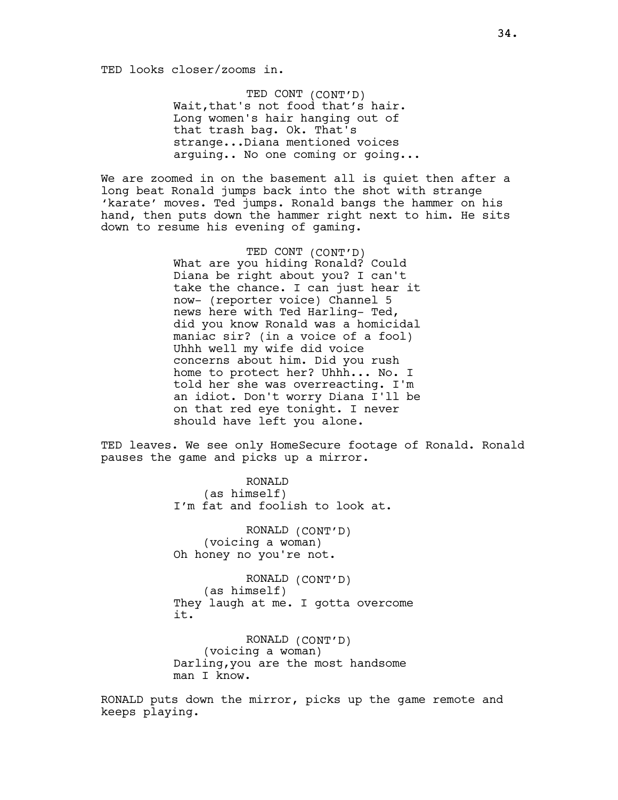TED looks closer/zooms in.

TED CONT (CONT'D) Wait,that's not food that's hair. Long women's hair hanging out of that trash bag. Ok. That's strange...Diana mentioned voices arguing.. No one coming or going...

We are zoomed in on the basement all is quiet then after a long beat Ronald jumps back into the shot with strange 'karate' moves. Ted jumps. Ronald bangs the hammer on his hand, then puts down the hammer right next to him. He sits down to resume his evening of gaming.

> TED CONT (CONT'D) What are you hiding Ronald? Could Diana be right about you? I can't take the chance. I can just hear it now- (reporter voice) Channel 5 news here with Ted Harling- Ted, did you know Ronald was a homicidal maniac sir? (in a voice of a fool) Uhhh well my wife did voice concerns about him. Did you rush home to protect her? Uhhh... No. I told her she was overreacting. I'm an idiot. Don't worry Diana I'll be on that red eye tonight. I never should have left you alone.

TED leaves. We see only HomeSecure footage of Ronald. Ronald pauses the game and picks up a mirror.

> RONALD (as himself) I'm fat and foolish to look at.

RONALD (CONT'D) (voicing a woman) Oh honey no you're not.

RONALD (CONT'D) (as himself) They laugh at me. I gotta overcome it.

RONALD (CONT'D) (voicing a woman) Darling,you are the most handsome man I know.

RONALD puts down the mirror, picks up the game remote and keeps playing.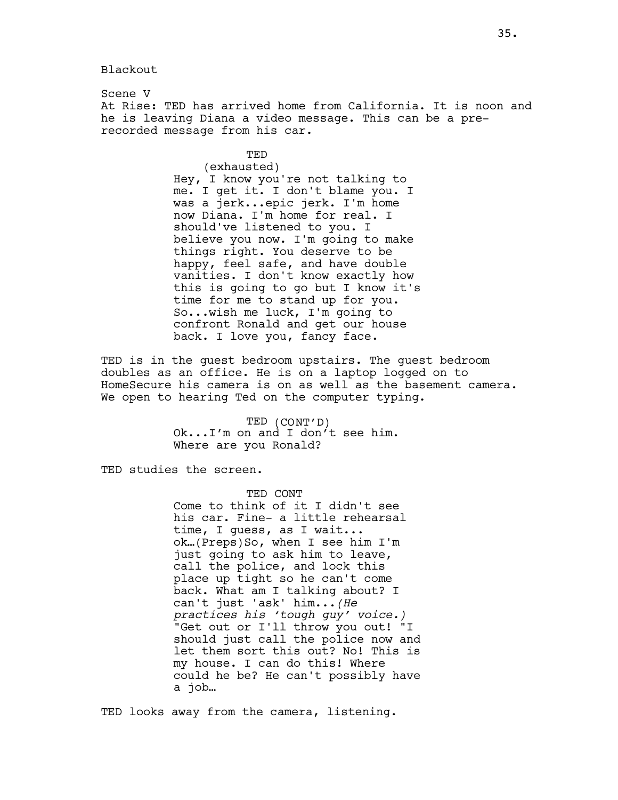Blackout

Scene V At Rise: TED has arrived home from California. It is noon and he is leaving Diana a video message. This can be a prerecorded message from his car.

TED

(exhausted) Hey, I know you're not talking to me. I get it. I don't blame you. I was a jerk...epic jerk. I'm home now Diana. I'm home for real. I should've listened to you. I believe you now. I'm going to make things right. You deserve to be happy, feel safe, and have double vanities. I don't know exactly how this is going to go but I know it's time for me to stand up for you. So...wish me luck, I'm going to confront Ronald and get our house back. I love you, fancy face.

TED is in the guest bedroom upstairs. The guest bedroom doubles as an office. He is on a laptop logged on to HomeSecure his camera is on as well as the basement camera. We open to hearing Ted on the computer typing.

> TED (CONT'D) Ok...I'm on and I don't see him. Where are you Ronald?

TED studies the screen.

TED CONT Come to think of it I didn't see his car. Fine- a little rehearsal time, I guess, as I wait... ok…(Preps)So, when I see him I'm just going to ask him to leave, call the police, and lock this place up tight so he can't come back. What am I talking about? I can't just 'ask' him...(He practices his 'tough guy' voice.) "Get out or I'll throw you out! "I should just call the police now and let them sort this out? No! This is my house. I can do this! Where could he be? He can't possibly have a job…

TED looks away from the camera, listening.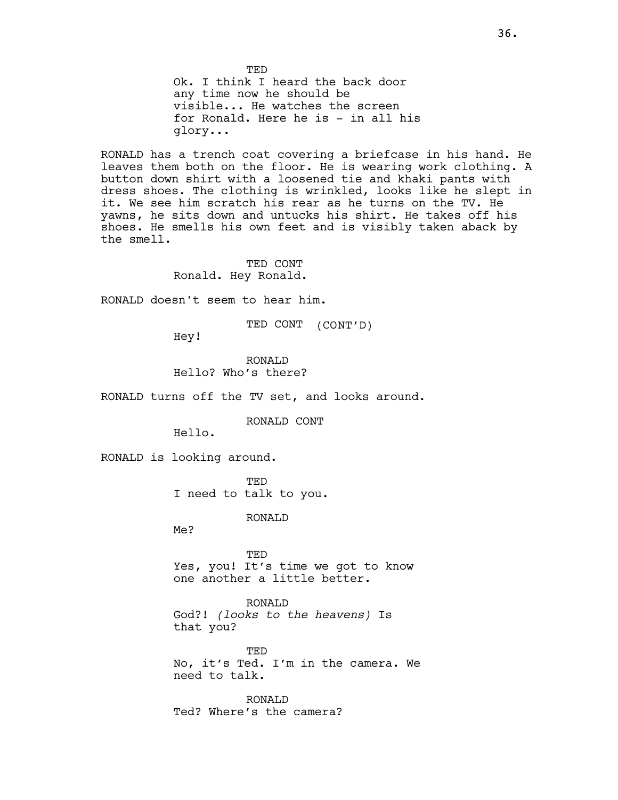**TED** Ok. I think I heard the back door any time now he should be visible... He watches the screen for Ronald. Here he is - in all his glory...

RONALD has a trench coat covering a briefcase in his hand. He leaves them both on the floor. He is wearing work clothing. A button down shirt with a loosened tie and khaki pants with dress shoes. The clothing is wrinkled, looks like he slept in it. We see him scratch his rear as he turns on the TV. He yawns, he sits down and untucks his shirt. He takes off his shoes. He smells his own feet and is visibly taken aback by the smell.

> TED CONT Ronald. Hey Ronald.

RONALD doesn't seem to hear him.

TED CONT (CONT'D)

Hey!

RONALD Hello? Who's there?

RONALD turns off the TV set, and looks around.

RONALD CONT

Hello.

RONALD is looking around.

TED I need to talk to you.

RONALD

Me?

TED Yes, you! It's time we got to know one another a little better.

RONALD God?! (looks to the heavens) Is that you?

TED No, it's Ted. I'm in the camera. We need to talk.

RONALD Ted? Where's the camera?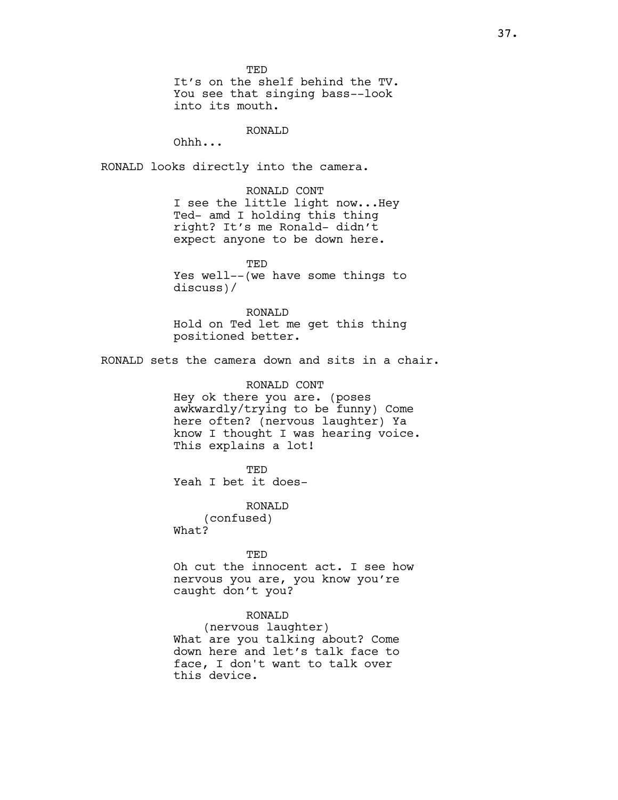**TED** 

It's on the shelf behind the TV. You see that singing bass--look into its mouth.

#### RONALD

Ohhh...

RONALD looks directly into the camera.

RONALD CONT I see the little light now...Hey Ted- amd I holding this thing right? It's me Ronald- didn't expect anyone to be down here.

TED Yes well--(we have some things to discuss)/

RONALD Hold on Ted let me get this thing positioned better.

RONALD sets the camera down and sits in a chair.

## RONALD CONT

Hey ok there you are. (poses awkwardly/trying to be funny) Come here often? (nervous laughter) Ya know I thought I was hearing voice. This explains a lot!

**TED** Yeah I bet it does-

RONALD (confused) What?

TED Oh cut the innocent act. I see how nervous you are, you know you're caught don't you?

## RONALD

(nervous laughter) What are you talking about? Come down here and let's talk face to face, I don't want to talk over this device.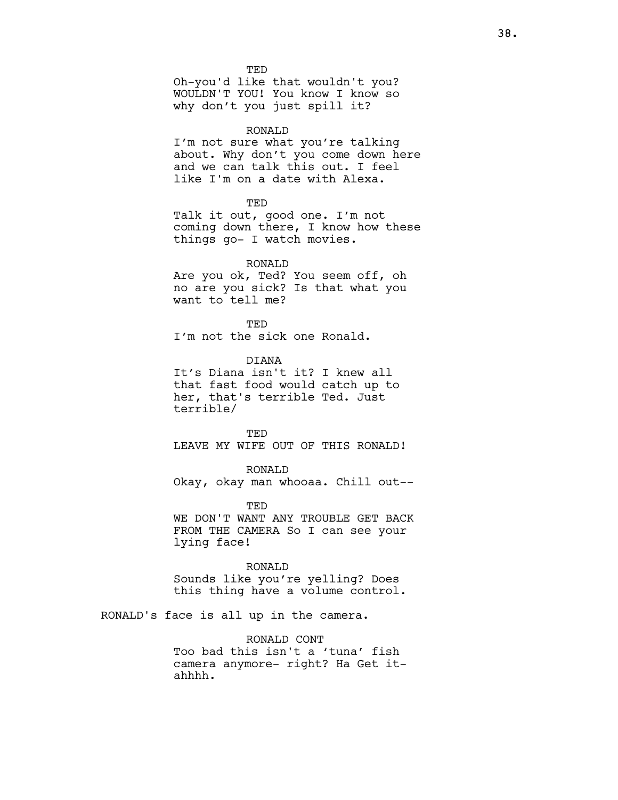**TED** Oh-you'd like that wouldn't you? WOULDN'T YOU! You know I know so why don't you just spill it?

### RONALD

I'm not sure what you're talking about. Why don't you come down here and we can talk this out. I feel like I'm on a date with Alexa.

**TED** 

Talk it out, good one. I'm not coming down there, I know how these things go- I watch movies.

RONALD

Are you ok, Ted? You seem off, oh no are you sick? Is that what you want to tell me?

**TED** I'm not the sick one Ronald.

DIANA

It's Diana isn't it? I knew all that fast food would catch up to her, that's terrible Ted. Just terrible/

TED LEAVE MY WIFE OUT OF THIS RONALD!

RONALD Okay, okay man whooaa. Chill out--

TED WE DON'T WANT ANY TROUBLE GET BACK FROM THE CAMERA So I can see your lying face!

RONALD

Sounds like you're yelling? Does this thing have a volume control.

RONALD's face is all up in the camera.

RONALD CONT Too bad this isn't a 'tuna' fish camera anymore- right? Ha Get itahhhh.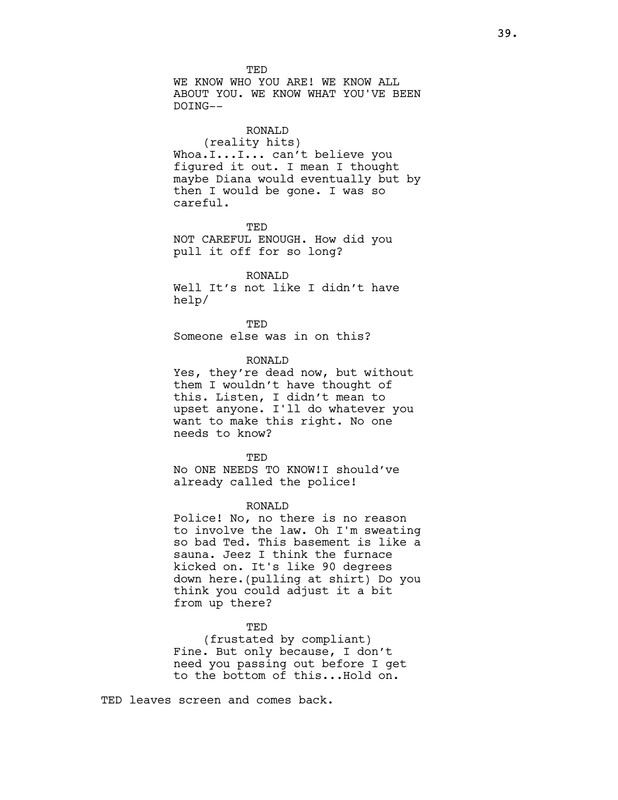TED WE KNOW WHO YOU ARE! WE KNOW ALL ABOUT YOU. WE KNOW WHAT YOU'VE BEEN DOING--

## RONALD

(reality hits) Whoa.I...I... can't believe you figured it out. I mean I thought maybe Diana would eventually but by then I would be gone. I was so careful.

**TED** NOT CAREFUL ENOUGH. How did you pull it off for so long?

#### RONALD

Well It's not like I didn't have help/

**TED** Someone else was in on this?

## RONALD

Yes, they're dead now, but without them I wouldn't have thought of this. Listen, I didn't mean to upset anyone. I'll do whatever you want to make this right. No one needs to know?

**TED** No ONE NEEDS TO KNOW!I should've already called the police!

#### RONALD

Police! No, no there is no reason to involve the law. Oh I'm sweating so bad Ted. This basement is like a sauna. Jeez I think the furnace kicked on. It's like 90 degrees down here.(pulling at shirt) Do you think you could adjust it a bit from up there?

## TED

(frustated by compliant) Fine. But only because, I don't need you passing out before I get to the bottom of this...Hold on.

TED leaves screen and comes back.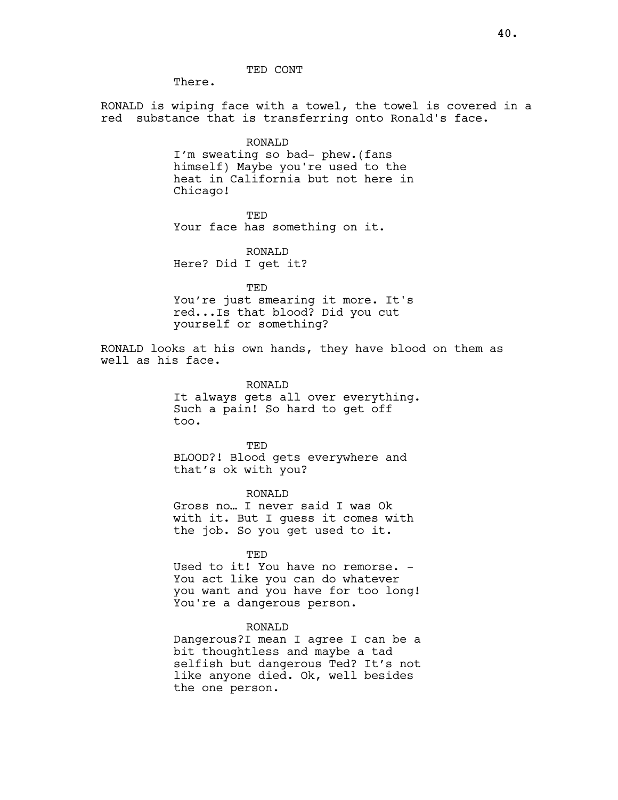There.

RONALD is wiping face with a towel, the towel is covered in a red substance that is transferring onto Ronald's face.

> RONALD I'm sweating so bad- phew.(fans himself) Maybe you're used to the heat in California but not here in Chicago!

> > TED

Your face has something on it.

RONALD Here? Did I get it?

TED You're just smearing it more. It's red...Is that blood? Did you cut yourself or something?

RONALD looks at his own hands, they have blood on them as well as his face.

RONALD

It always gets all over everything. Such a pain! So hard to get off too.

TED BLOOD?! Blood gets everywhere and that's ok with you?

RONALD

Gross no… I never said I was Ok with it. But I guess it comes with the job. So you get used to it.

TED

Used to it! You have no remorse. -You act like you can do whatever you want and you have for too long! You're a dangerous person.

## RONALD

Dangerous?I mean I agree I can be a bit thoughtless and maybe a tad selfish but dangerous Ted? It's not like anyone died. Ok, well besides the one person.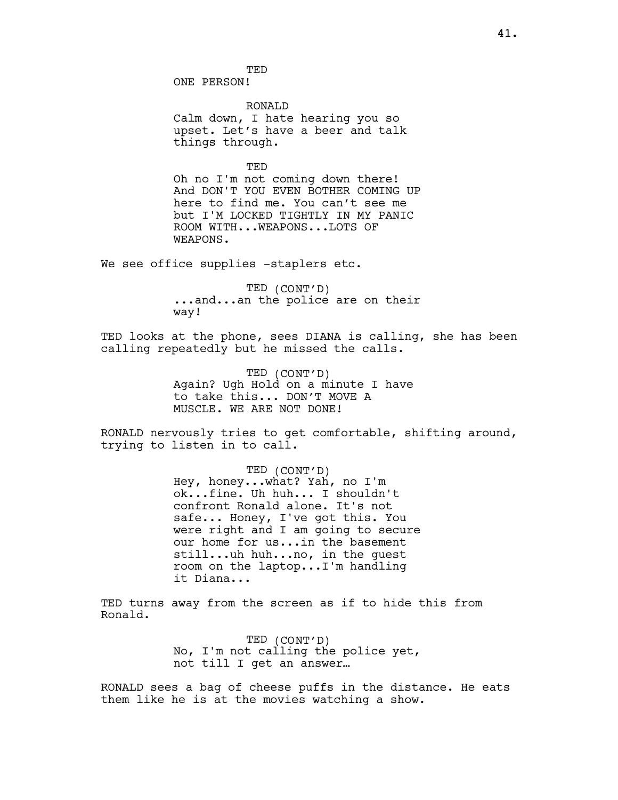**TED** ONE PERSON!

RONALD Calm down, I hate hearing you so upset. Let's have a beer and talk things through.

TED

Oh no I'm not coming down there! And DON'T YOU EVEN BOTHER COMING UP here to find me. You can't see me but I'M LOCKED TIGHTLY IN MY PANIC ROOM WITH...WEAPONS...LOTS OF WEAPONS.

We see office supplies -staplers etc.

TED (CONT'D) ...and...an the police are on their way!

TED looks at the phone, sees DIANA is calling, she has been calling repeatedly but he missed the calls.

> TED (CONT'D) Again? Ugh Hold on a minute I have to take this... DON'T MOVE A MUSCLE. WE ARE NOT DONE!

RONALD nervously tries to get comfortable, shifting around, trying to listen in to call.

> TED (CONT'D) Hey, honey...what? Yah, no I'm ok...fine. Uh huh... I shouldn't confront Ronald alone. It's not safe... Honey, I've got this. You were right and I am going to secure our home for us...in the basement still...uh huh...no, in the guest room on the laptop...I'm handling it Diana...

TED turns away from the screen as if to hide this from Ronald.

> TED (CONT'D) No, I'm not calling the police yet, not till I get an answer…

RONALD sees a bag of cheese puffs in the distance. He eats them like he is at the movies watching a show.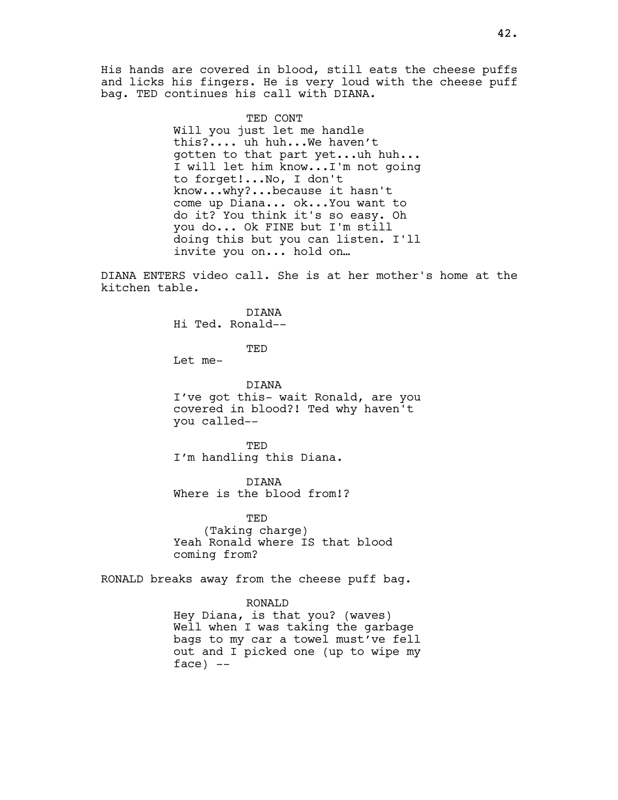His hands are covered in blood, still eats the cheese puffs and licks his fingers. He is very loud with the cheese puff bag. TED continues his call with DIANA.

TED CONT

Will you just let me handle this?.... uh huh...We haven't gotten to that part yet...uh huh... I will let him know...I'm not going to forget!...No, I don't know...why?...because it hasn't come up Diana... ok...You want to do it? You think it's so easy. Oh you do... Ok FINE but I'm still doing this but you can listen. I'll invite you on... hold on…

DIANA ENTERS video call. She is at her mother's home at the kitchen table.

> DIANA Hi Ted. Ronald--

> > TED

Let me-

DIANA I've got this- wait Ronald, are you covered in blood?! Ted why haven't you called--

TED I'm handling this Diana.

DIANA Where is the blood from!?

TED (Taking charge) Yeah Ronald where IS that blood coming from?

RONALD breaks away from the cheese puff bag.

RONALD

Hey Diana, is that you? (waves) Well when I was taking the garbage bags to my car a towel must've fell out and I picked one (up to wipe my  $face)$  --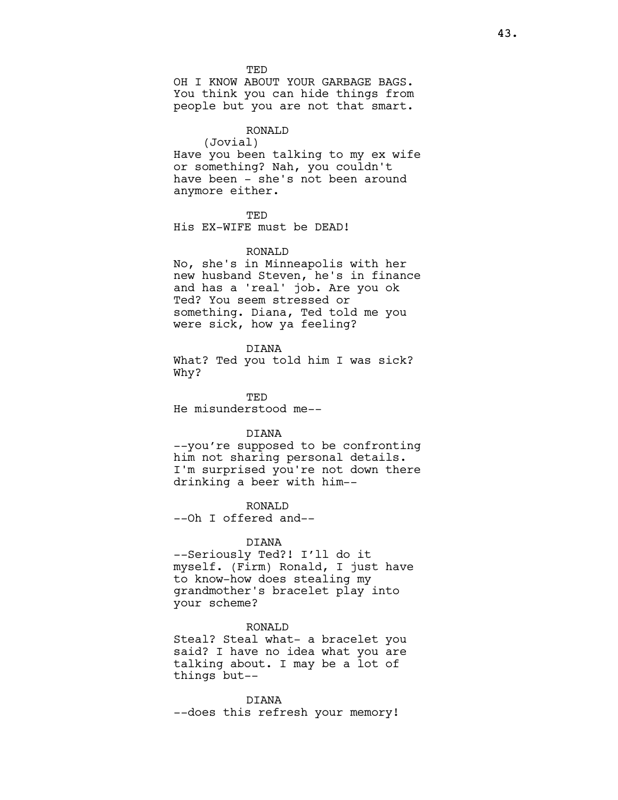**TED** 

OH I KNOW ABOUT YOUR GARBAGE BAGS. You think you can hide things from people but you are not that smart.

#### RONALD

(Jovial) Have you been talking to my ex wife or something? Nah, you couldn't have been - she's not been around anymore either.

TED

His EX-WIFE must be DEAD!

#### RONALD

No, she's in Minneapolis with her new husband Steven, he's in finance and has a 'real' job. Are you ok Ted? You seem stressed or something. Diana, Ted told me you were sick, how ya feeling?

#### DIANA

What? Ted you told him I was sick? Why?

TED He misunderstood me--

## DIANA

--you're supposed to be confronting him not sharing personal details. I'm surprised you're not down there drinking a beer with him--

RONALD

--Oh I offered and--

## DIANA

--Seriously Ted?! I'll do it myself. (Firm) Ronald, I just have to know-how does stealing my grandmother's bracelet play into your scheme?

### RONALD

Steal? Steal what- a bracelet you said? I have no idea what you are talking about. I may be a lot of things but--

DIANA --does this refresh your memory!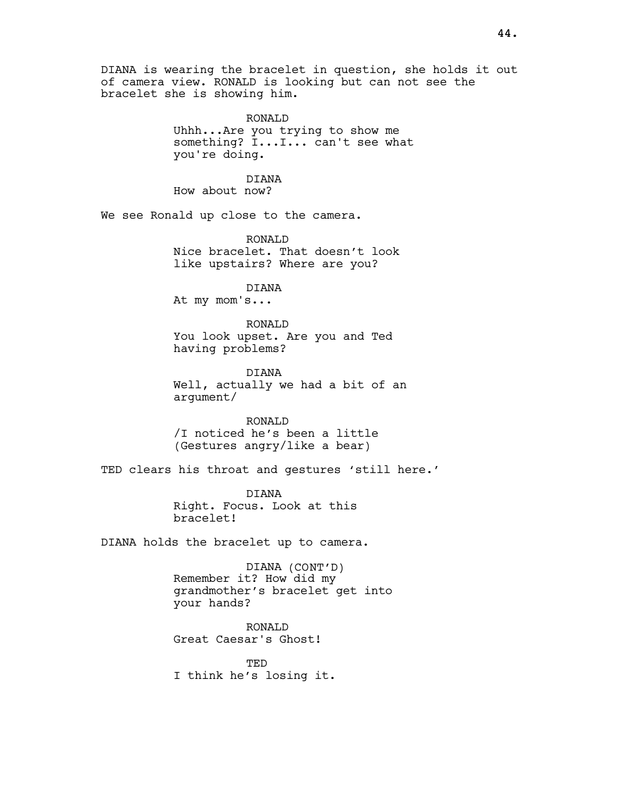DIANA is wearing the bracelet in question, she holds it out of camera view. RONALD is looking but can not see the bracelet she is showing him.

> RONALD Uhhh...Are you trying to show me something? I...I... can't see what you're doing.

DIANA How about now?

We see Ronald up close to the camera.

RONALD Nice bracelet. That doesn't look like upstairs? Where are you?

DIANA

At my mom's...

RONALD You look upset. Are you and Ted having problems?

DIANA Well, actually we had a bit of an argument/

RONALD /I noticed he's been a little (Gestures angry/like a bear)

TED clears his throat and gestures 'still here.'

DIANA Right. Focus. Look at this bracelet!

DIANA holds the bracelet up to camera.

DIANA (CONT'D) Remember it? How did my grandmother's bracelet get into your hands?

RONALD Great Caesar's Ghost!

TED I think he's losing it.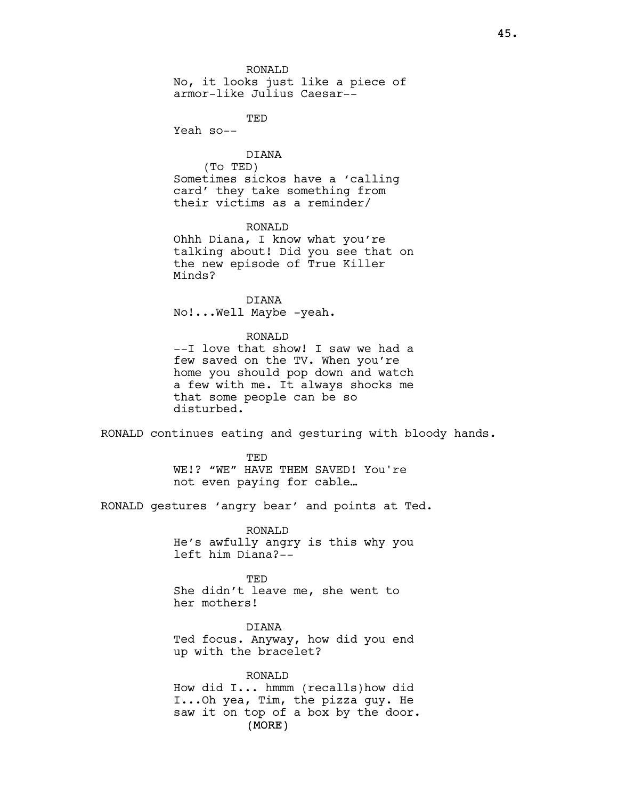RONALD No, it looks just like a piece of armor-like Julius Caesar--

**TED** 

Yeah so--

## DIANA

(To TED) Sometimes sickos have a 'calling card' they take something from their victims as a reminder/

## RONALD

Ohhh Diana, I know what you're talking about! Did you see that on the new episode of True Killer Minds?

DIANA No!...Well Maybe -yeah.

### RONALD

--I love that show! I saw we had a few saved on the TV. When you're home you should pop down and watch a few with me. It always shocks me that some people can be so disturbed.

RONALD continues eating and gesturing with bloody hands.

**TED** WE!? "WE" HAVE THEM SAVED! You're not even paying for cable…

RONALD gestures 'angry bear' and points at Ted.

RONALD He's awfully angry is this why you left him Diana?--

TED She didn't leave me, she went to her mothers!

DIANA Ted focus. Anyway, how did you end up with the bracelet?

(MORE) RONALD How did I... hmmm (recalls)how did I...Oh yea, Tim, the pizza guy. He saw it on top of a box by the door.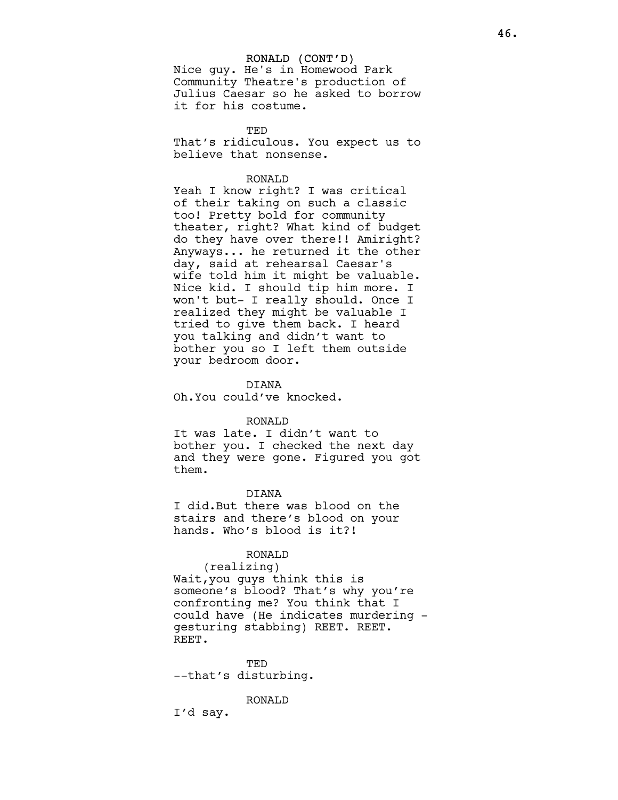### RONALD (CONT'D)

Nice guy. He's in Homewood Park Community Theatre's production of Julius Caesar so he asked to borrow it for his costume.

TED That's ridiculous. You expect us to believe that nonsense.

### RONALD

Yeah I know right? I was critical of their taking on such a classic too! Pretty bold for community theater, right? What kind of budget do they have over there!! Amiright? Anyways... he returned it the other day, said at rehearsal Caesar's wife told him it might be valuable. Nice kid. I should tip him more. I won't but- I really should. Once I realized they might be valuable I tried to give them back. I heard you talking and didn't want to bother you so I left them outside your bedroom door.

DIANA

Oh.You could've knocked.

#### RONALD

It was late. I didn't want to bother you. I checked the next day and they were gone. Figured you got them.

#### DIANA

I did.But there was blood on the stairs and there's blood on your hands. Who's blood is it?!

## RONALD

(realizing) Wait,you guys think this is someone's blood? That's why you're confronting me? You think that I could have (He indicates murdering gesturing stabbing) REET. REET. REET.

TED --that's disturbing.

#### RONALD

I'd say.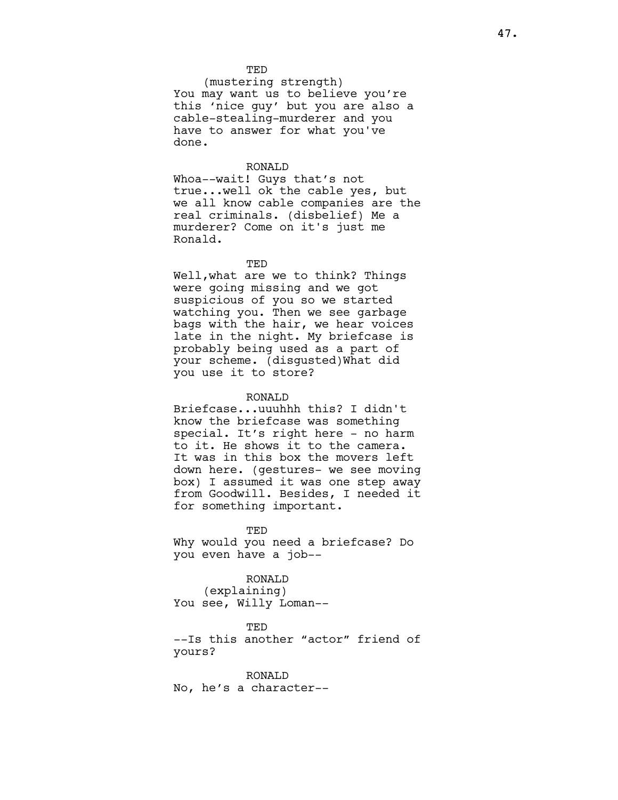#### TED

(mustering strength) You may want us to believe you're this 'nice guy' but you are also a cable-stealing-murderer and you have to answer for what you've done.

### RONALD

Whoa--wait! Guys that's not true...well ok the cable yes, but we all know cable companies are the real criminals. (disbelief) Me a murderer? Come on it's just me Ronald.

TED

Well,what are we to think? Things were going missing and we got suspicious of you so we started watching you. Then we see garbage bags with the hair, we hear voices late in the night. My briefcase is probably being used as a part of your scheme. (disgusted)What did you use it to store?

#### RONALD

Briefcase...uuuhhh this? I didn't know the briefcase was something special. It's right here - no harm to it. He shows it to the camera. It was in this box the movers left down here. (gestures- we see moving box) I assumed it was one step away from Goodwill. Besides, I needed it for something important.

**TED** Why would you need a briefcase? Do you even have a job--

## RONALD

(explaining) You see, Willy Loman--

#### TED

--Is this another "actor" friend of yours?

RONALD No, he's a character--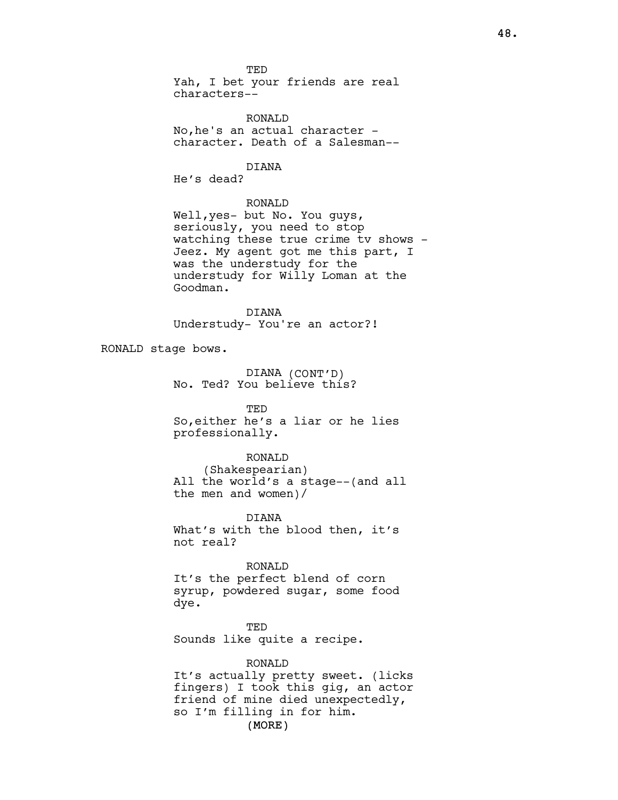TED Yah, I bet your friends are real characters--

RONALD No,he's an actual character character. Death of a Salesman--

# DIANA

He's dead?

## RONALD

Well,yes- but No. You guys, seriously, you need to stop watching these true crime tv shows - Jeez. My agent got me this part, I was the understudy for the understudy for Willy Loman at the Goodman.

DIANA Understudy- You're an actor?!

RONALD stage bows.

DIANA (CONT'D) No. Ted? You believe this?

#### TED

So,either he's a liar or he lies professionally.

### RONALD

(Shakespearian) All the world's a stage--(and all the men and women)/

## DIANA

What's with the blood then, it's not real?

## RONALD

It's the perfect blend of corn syrup, powdered sugar, some food dye.

TED Sounds like quite a recipe.

## RONALD

(MORE) It's actually pretty sweet. (licks fingers) I took this gig, an actor friend of mine died unexpectedly, so I'm filling in for him.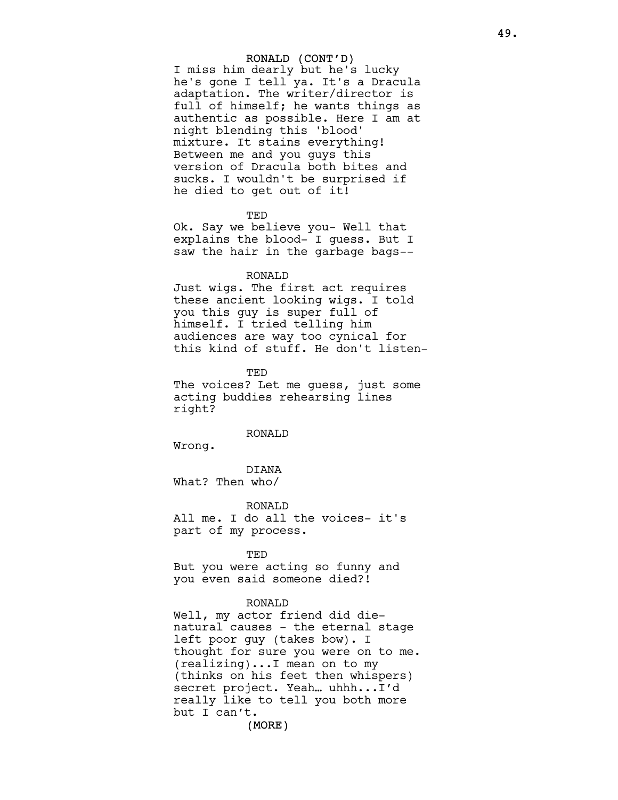### RONALD (CONT'D)

I miss him dearly but he's lucky he's gone I tell ya. It's a Dracula adaptation. The writer/director is full of himself; he wants things as authentic as possible. Here I am at night blending this 'blood' mixture. It stains everything! Between me and you guys this version of Dracula both bites and sucks. I wouldn't be surprised if he died to get out of it!

#### TED

Ok. Say we believe you- Well that explains the blood- I guess. But I saw the hair in the garbage bags--

#### RONALD

Just wigs. The first act requires these ancient looking wigs. I told you this guy is super full of himself. I tried telling him audiences are way too cynical for this kind of stuff. He don't listen-

TED The voices? Let me guess, just some acting buddies rehearsing lines right?

## RONALD

Wrong.

DIANA What? Then who/

RONALD All me. I do all the voices- it's part of my process.

#### TED

But you were acting so funny and you even said someone died?!

#### RONALD

Well, my actor friend did dienatural causes - the eternal stage left poor guy (takes bow). I thought for sure you were on to me. (realizing)...I mean on to my (thinks on his feet then whispers) secret project. Yeah… uhhh...I'd really like to tell you both more but I can't.

(MORE)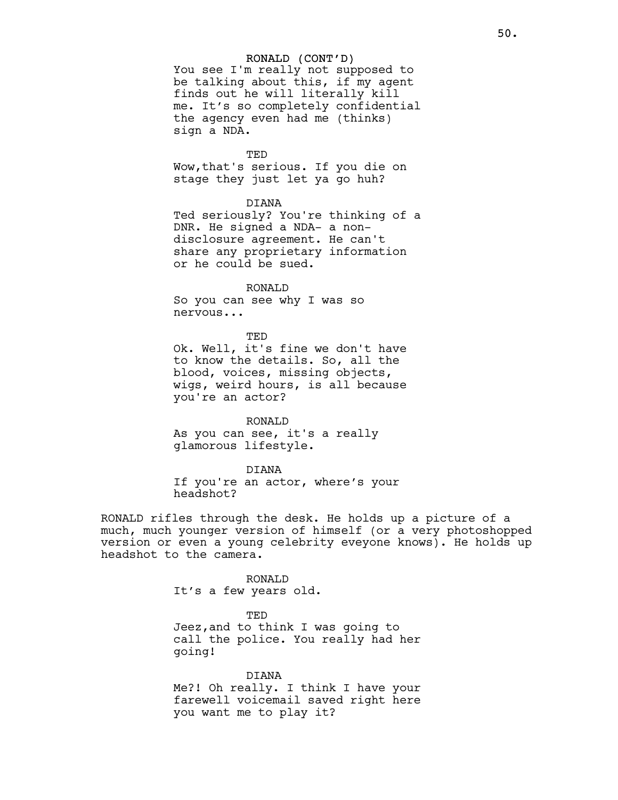### RONALD (CONT'D)

You see I'm really not supposed to be talking about this, if my agent finds out he will literally kill me. It's so completely confidential the agency even had me (thinks) sign a NDA.

TED

Wow,that's serious. If you die on stage they just let ya go huh?

### DIANA

Ted seriously? You're thinking of a DNR. He signed a NDA- a nondisclosure agreement. He can't share any proprietary information or he could be sued.

#### RONALD

So you can see why I was so nervous...

TED Ok. Well, it's fine we don't have to know the details. So, all the blood, voices, missing objects, wigs, weird hours, is all because you're an actor?

### RONALD

As you can see, it's a really glamorous lifestyle.

### DIANA

If you're an actor, where's your headshot?

RONALD rifles through the desk. He holds up a picture of a much, much younger version of himself (or a very photoshopped version or even a young celebrity eveyone knows). He holds up headshot to the camera.

> RONALD It's a few years old.

> > TED

Jeez,and to think I was going to call the police. You really had her going!

DIANA Me?! Oh really. I think I have your farewell voicemail saved right here you want me to play it?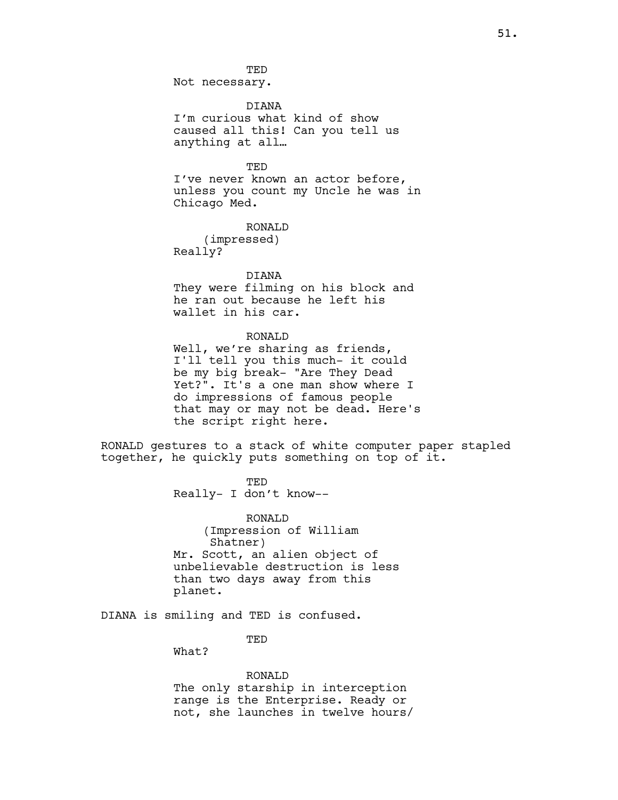51.

**TED** Not necessary.

DIANA I'm curious what kind of show caused all this! Can you tell us anything at all…

## TED

I've never known an actor before, unless you count my Uncle he was in Chicago Med.

RONALD

(impressed) Really?

## DIANA

They were filming on his block and he ran out because he left his wallet in his car.

#### RONALD

Well, we're sharing as friends, I'll tell you this much- it could be my big break- "Are They Dead Yet?". It's a one man show where I do impressions of famous people that may or may not be dead. Here's the script right here.

RONALD gestures to a stack of white computer paper stapled together, he quickly puts something on top of it.

> TED Really- I don't know--

RONALD (Impression of William Shatner) Mr. Scott, an alien object of unbelievable destruction is less than two days away from this planet.

DIANA is smiling and TED is confused.

TED

What?

## RONALD

The only starship in interception range is the Enterprise. Ready or not, she launches in twelve hours/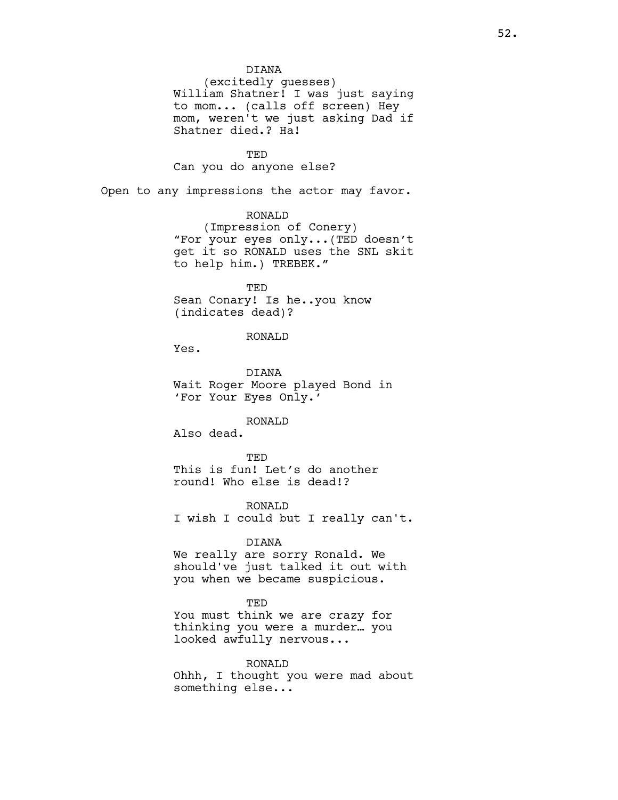#### DIANA

(excitedly guesses) William Shatner! I was just saying to mom... (calls off screen) Hey mom, weren't we just asking Dad if Shatner died.? Ha!

#### TED

Can you do anyone else?

Open to any impressions the actor may favor.

## RONALD

(Impression of Conery) "For your eyes only...(TED doesn't get it so RONALD uses the SNL skit to help him.) TREBEK."

TED Sean Conary! Is he..you know (indicates dead)?

## RONALD

Yes.

DIANA Wait Roger Moore played Bond in 'For Your Eyes Only.'

#### RONALD

Also dead.

TED This is fun! Let's do another round! Who else is dead!?

RONALD I wish I could but I really can't.

## DIANA

We really are sorry Ronald. We should've just talked it out with you when we became suspicious.

## **TED**

You must think we are crazy for thinking you were a murder… you looked awfully nervous...

#### RONALD

Ohhh, I thought you were mad about something else...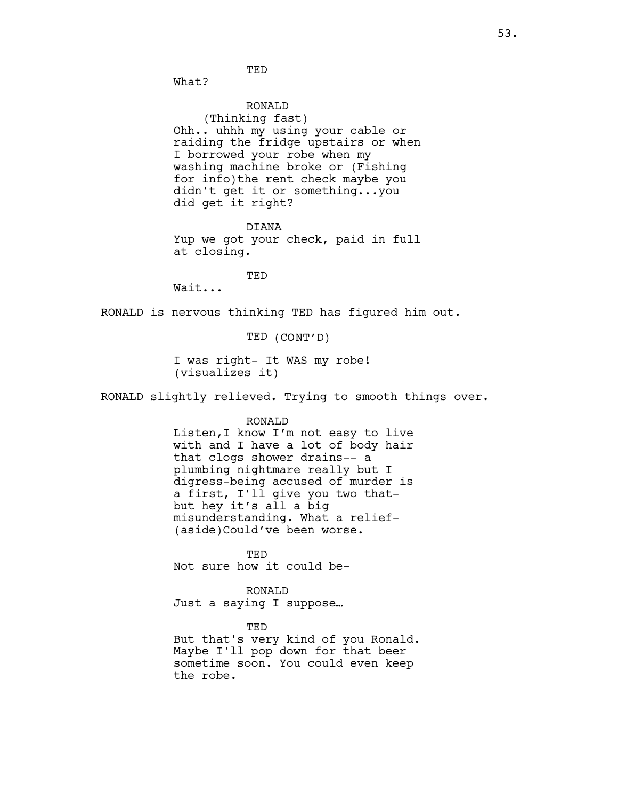**TED** 

What?

RONALD (Thinking fast) Ohh.. uhhh my using your cable or raiding the fridge upstairs or when I borrowed your robe when my washing machine broke or (Fishing for info)the rent check maybe you didn't get it or something...you did get it right?

DIANA Yup we got your check, paid in full at closing.

TED

Wait...

RONALD is nervous thinking TED has figured him out.

TED (CONT'D)

I was right- It WAS my robe! (visualizes it)

RONALD slightly relieved. Trying to smooth things over.

#### RONALD

Listen,I know I'm not easy to live with and I have a lot of body hair that clogs shower drains-- a plumbing nightmare really but I digress-being accused of murder is a first, I'll give you two thatbut hey it's all a big misunderstanding. What a relief- (aside)Could've been worse.

TED Not sure how it could be-

RONALD

Just a saying I suppose…

TED

But that's very kind of you Ronald. Maybe I'll pop down for that beer sometime soon. You could even keep the robe.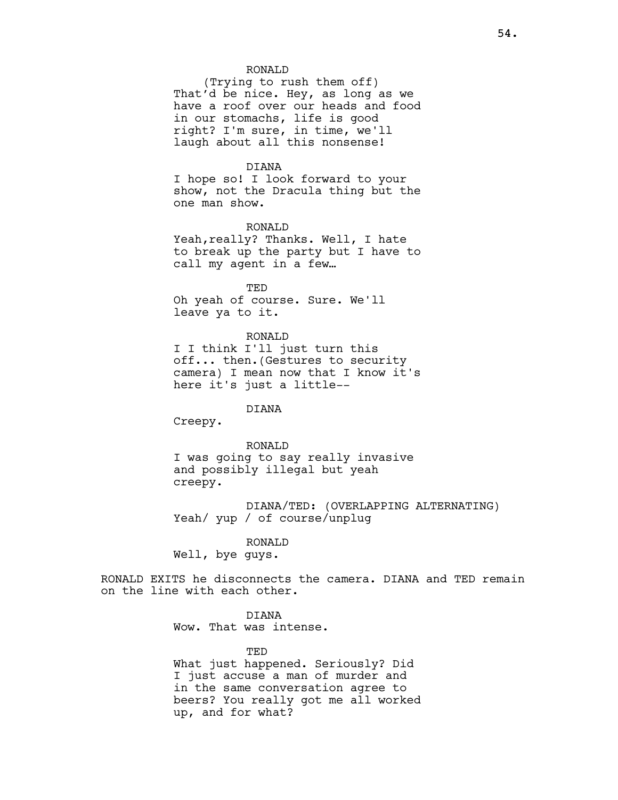### RONALD

(Trying to rush them off) That'd be nice. Hey, as long as we have a roof over our heads and food in our stomachs, life is good right? I'm sure, in time, we'll laugh about all this nonsense!

#### DIANA

I hope so! I look forward to your show, not the Dracula thing but the one man show.

#### RONALD

Yeah, really? Thanks. Well, I hate to break up the party but I have to call my agent in a few…

TED Oh yeah of course. Sure. We'll leave ya to it.

#### RONALD

I I think I'll just turn this off... then.(Gestures to security camera) I mean now that I know it's here it's just a little--

## DIANA

Creepy.

#### RONALD

I was going to say really invasive and possibly illegal but yeah creepy.

DIANA/TED: (OVERLAPPING ALTERNATING) Yeah/ yup / of course/unplug

#### RONALD

Well, bye guys.

RONALD EXITS he disconnects the camera. DIANA and TED remain on the line with each other.

### DIANA

Wow. That was intense.

#### TED

What just happened. Seriously? Did I just accuse a man of murder and in the same conversation agree to beers? You really got me all worked up, and for what?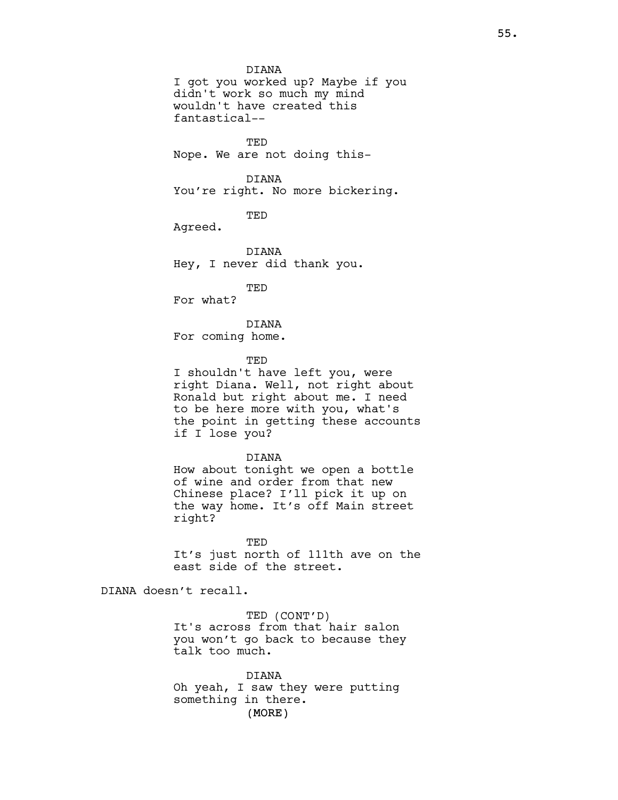### DIANA

I got you worked up? Maybe if you didn't work so much my mind wouldn't have created this fantastical--

**TED** Nope. We are not doing this-

## DIANA

You're right. No more bickering.

TED

Agreed.

DIANA Hey, I never did thank you.

TED

For what?

DIANA

For coming home.

TED

I shouldn't have left you, were right Diana. Well, not right about Ronald but right about me. I need to be here more with you, what's the point in getting these accounts if I lose you?

DIANA

How about tonight we open a bottle of wine and order from that new Chinese place? I'll pick it up on the way home. It's off Main street right?

TED It's just north of 111th ave on the east side of the street.

DIANA doesn't recall.

TED (CONT'D) It's across from that hair salon you won't go back to because they talk too much.

(MORE) DIANA Oh yeah, I saw they were putting something in there.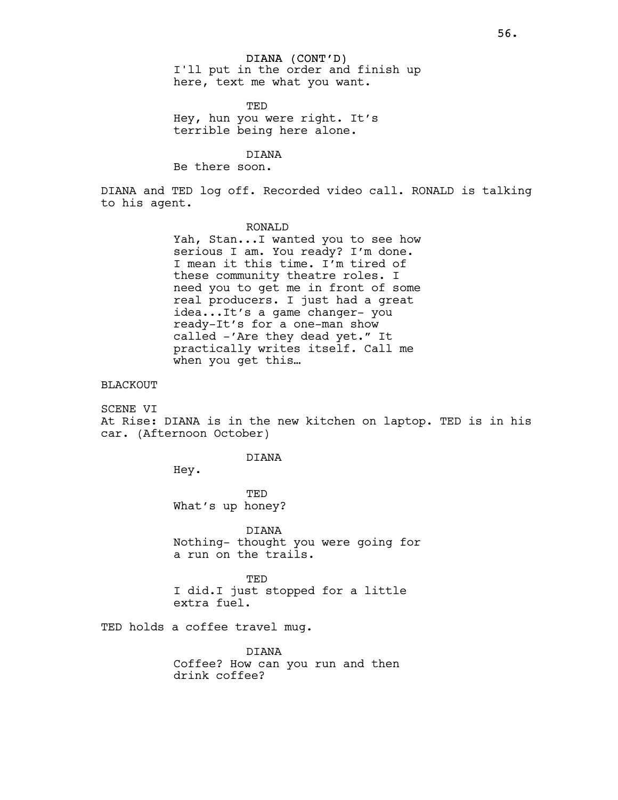TED Hey, hun you were right. It's terrible being here alone.

## DIANA

Be there soon.

DIANA and TED log off. Recorded video call. RONALD is talking to his agent.

#### RONALD

Yah, Stan...I wanted you to see how serious I am. You ready? I'm done. I mean it this time. I'm tired of these community theatre roles. I need you to get me in front of some real producers. I just had a great idea...It's a game changer- you ready-It's for a one-man show called -'Are they dead yet." It practically writes itself. Call me when you get this…

## BLACKOUT

SCENE VI At Rise: DIANA is in the new kitchen on laptop. TED is in his car. (Afternoon October)

#### DIANA

Hey.

**TED** What's up honey?

DIANA Nothing- thought you were going for a run on the trails.

TED I did.I just stopped for a little extra fuel.

TED holds a coffee travel mug.

DIANA Coffee? How can you run and then drink coffee?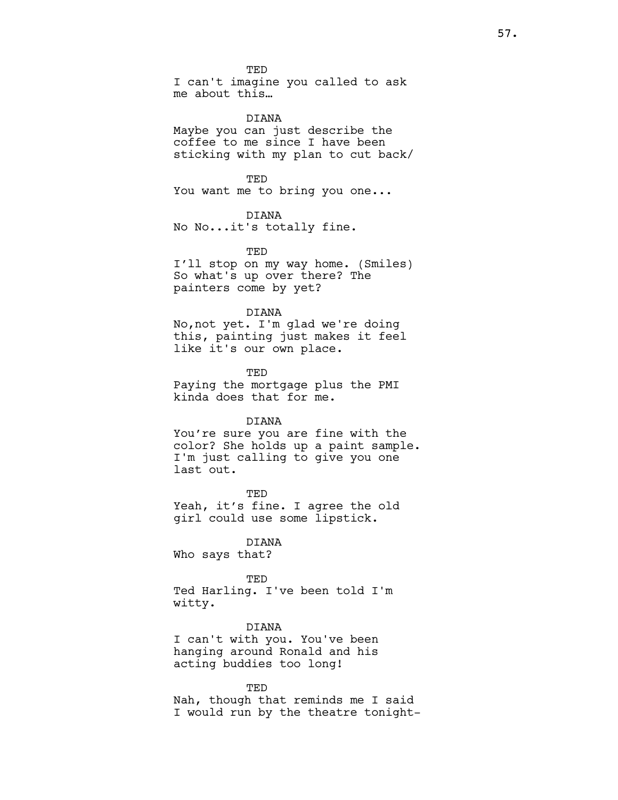TED

I can't imagine you called to ask me about this…

DIANA

Maybe you can just describe the coffee to me since I have been sticking with my plan to cut back/

TED

You want me to bring you one...

### DIANA

No No...it's totally fine.

#### TED

I'll stop on my way home. (Smiles) So what's up over there? The painters come by yet?

#### DIANA

No,not yet. I'm glad we're doing this, painting just makes it feel like it's our own place.

TED Paying the mortgage plus the PMI kinda does that for me.

## DIANA

You're sure you are fine with the color? She holds up a paint sample. I'm just calling to give you one last out.

**TED** Yeah, it's fine. I agree the old girl could use some lipstick.

#### DIANA

Who says that?

#### TED

Ted Harling. I've been told I'm witty.

#### DIANA

I can't with you. You've been hanging around Ronald and his acting buddies too long!

TED Nah, though that reminds me I said I would run by the theatre tonight-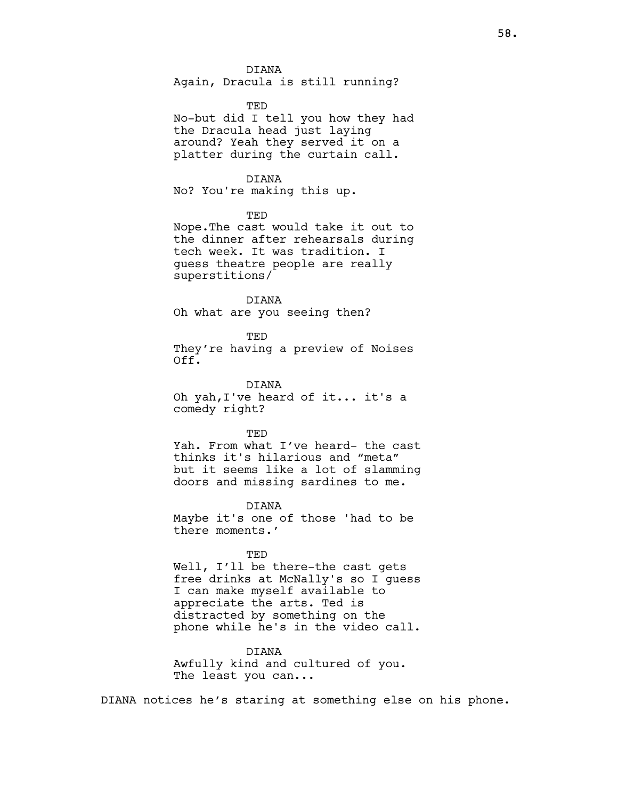#### DIANA

Again, Dracula is still running?

#### TED

No-but did I tell you how they had the Dracula head just laying around? Yeah they served it on a platter during the curtain call.

## DIANA

No? You're making this up.

TED

Nope.The cast would take it out to the dinner after rehearsals during tech week. It was tradition. I guess theatre people are really superstitions/

DIANA Oh what are you seeing then?

TED They're having a preview of Noises Off.

DIANA Oh yah,I've heard of it... it's a comedy right?

#### TED

Yah. From what I've heard- the cast thinks it's hilarious and "meta" but it seems like a lot of slamming doors and missing sardines to me.

DIANA Maybe it's one of those 'had to be there moments.'

#### TED

Well, I'll be there-the cast gets free drinks at McNally's so I guess I can make myself available to appreciate the arts. Ted is distracted by something on the phone while he's in the video call.

## DIANA

Awfully kind and cultured of you. The least you can...

DIANA notices he's staring at something else on his phone.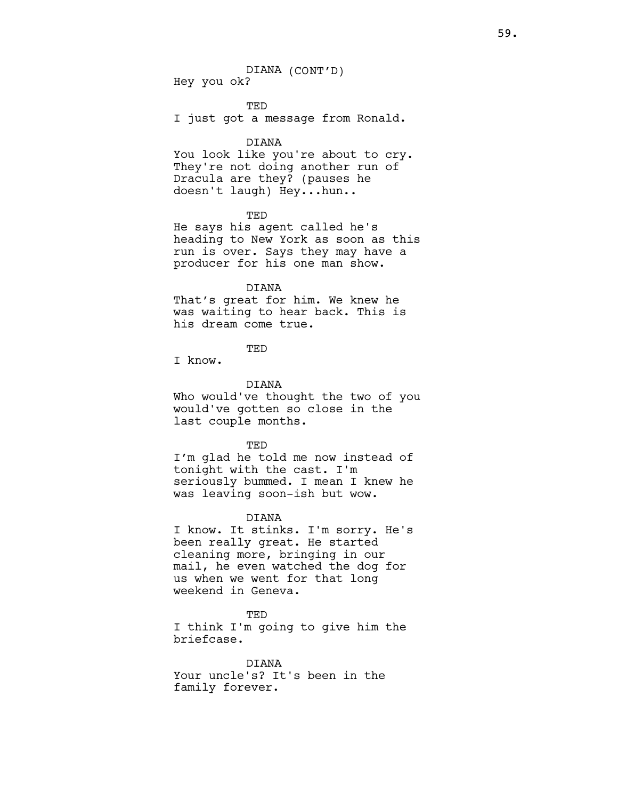DIANA (CONT'D) Hey you ok?

TED I just got a message from Ronald.

#### DIANA

You look like you're about to cry. They're not doing another run of Dracula are they? (pauses he doesn't laugh) Hey...hun..

### TED

He says his agent called he's heading to New York as soon as this run is over. Says they may have a producer for his one man show.

## DIANA

That's great for him. We knew he was waiting to hear back. This is his dream come true.

TED

I know.

## DIANA

Who would've thought the two of you would've gotten so close in the last couple months.

#### TED

I'm glad he told me now instead of tonight with the cast. I'm seriously bummed. I mean I knew he was leaving soon-ish but wow.

### DIANA

I know. It stinks. I'm sorry. He's been really great. He started cleaning more, bringing in our mail, he even watched the dog for us when we went for that long weekend in Geneva.

#### TED

I think I'm going to give him the briefcase.

DIANA Your uncle's? It's been in the family forever.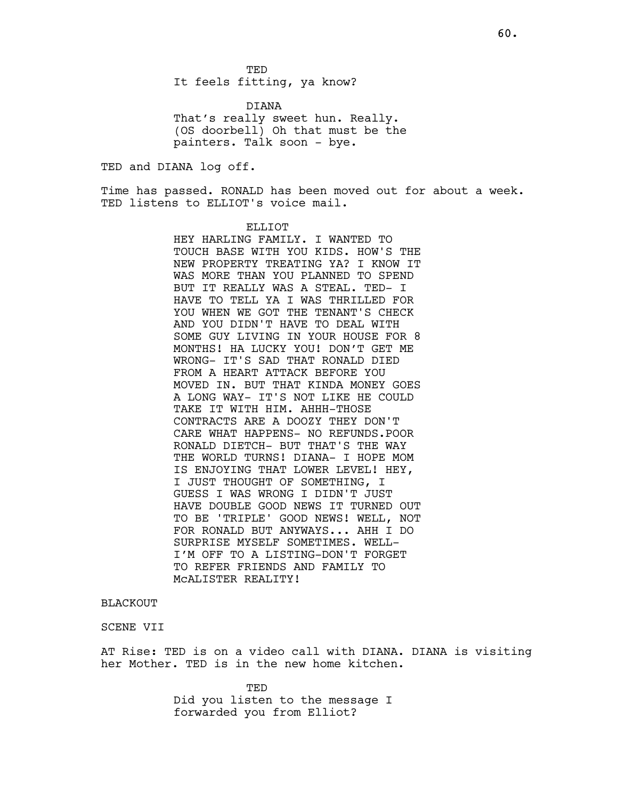It feels fitting, ya know?

DIANA That's really sweet hun. Really. (OS doorbell) Oh that must be the painters. Talk soon - bye.

TED and DIANA log off.

Time has passed. RONALD has been moved out for about a week. TED listens to ELLIOT's voice mail.

## ELLIOT

HEY HARLING FAMILY. I WANTED TO TOUCH BASE WITH YOU KIDS. HOW'S THE NEW PROPERTY TREATING YA? I KNOW IT WAS MORE THAN YOU PLANNED TO SPEND BUT IT REALLY WAS A STEAL. TED- I HAVE TO TELL YA I WAS THRILLED FOR YOU WHEN WE GOT THE TENANT'S CHECK AND YOU DIDN'T HAVE TO DEAL WITH SOME GUY LIVING IN YOUR HOUSE FOR 8 MONTHS! HA LUCKY YOU! DON'T GET ME WRONG- IT'S SAD THAT RONALD DIED FROM A HEART ATTACK BEFORE YOU MOVED IN. BUT THAT KINDA MONEY GOES A LONG WAY- IT'S NOT LIKE HE COULD TAKE IT WITH HIM. AHHH-THOSE CONTRACTS ARE A DOOZY THEY DON'T CARE WHAT HAPPENS- NO REFUNDS.POOR RONALD DIETCH- BUT THAT'S THE WAY THE WORLD TURNS! DIANA- I HOPE MOM IS ENJOYING THAT LOWER LEVEL! HEY, I JUST THOUGHT OF SOMETHING, I GUESS I WAS WRONG I DIDN'T JUST HAVE DOUBLE GOOD NEWS IT TURNED OUT TO BE 'TRIPLE' GOOD NEWS! WELL, NOT FOR RONALD BUT ANYWAYS... AHH I DO SURPRISE MYSELF SOMETIMES. WELL-I'M OFF TO A LISTING-DON'T FORGET TO REFER FRIENDS AND FAMILY TO McALISTER REALITY!

## **BLACKOUT**

## SCENE VII

AT Rise: TED is on a video call with DIANA. DIANA is visiting her Mother. TED is in the new home kitchen.

> TED Did you listen to the message I forwarded you from Elliot?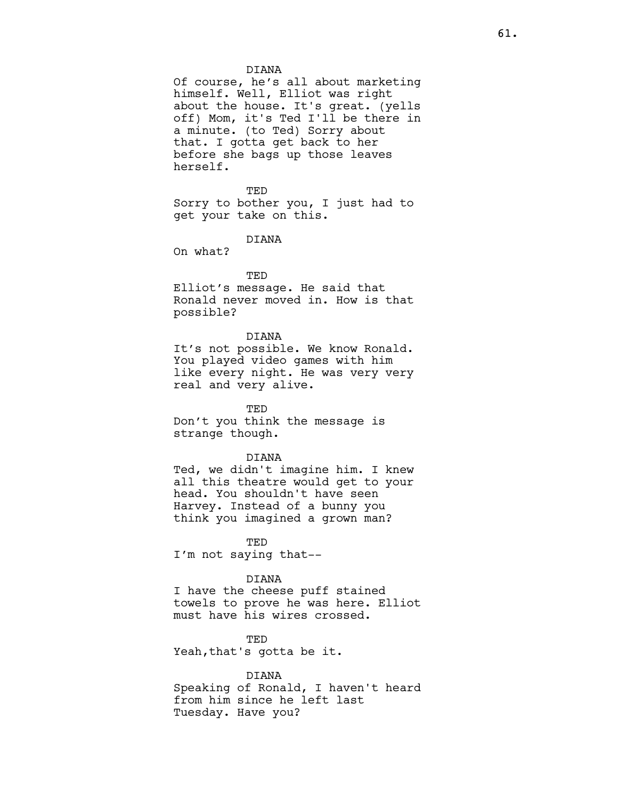### DIANA

Of course, he's all about marketing himself. Well, Elliot was right about the house. It's great. (yells off) Mom, it's Ted I'll be there in a minute. (to Ted) Sorry about that. I gotta get back to her before she bags up those leaves herself.

TED Sorry to bother you, I just had to get your take on this.

#### DIANA

On what?

#### TED

Elliot's message. He said that Ronald never moved in. How is that possible?

## DIANA

It's not possible. We know Ronald. You played video games with him like every night. He was very very real and very alive.

TED Don't you think the message is strange though.

#### DIANA

Ted, we didn't imagine him. I knew all this theatre would get to your head. You shouldn't have seen Harvey. Instead of a bunny you think you imagined a grown man?

TED I'm not saying that--

## DIANA

I have the cheese puff stained towels to prove he was here. Elliot must have his wires crossed.

TED Yeah,that's gotta be it.

#### DIANA

Speaking of Ronald, I haven't heard from him since he left last Tuesday. Have you?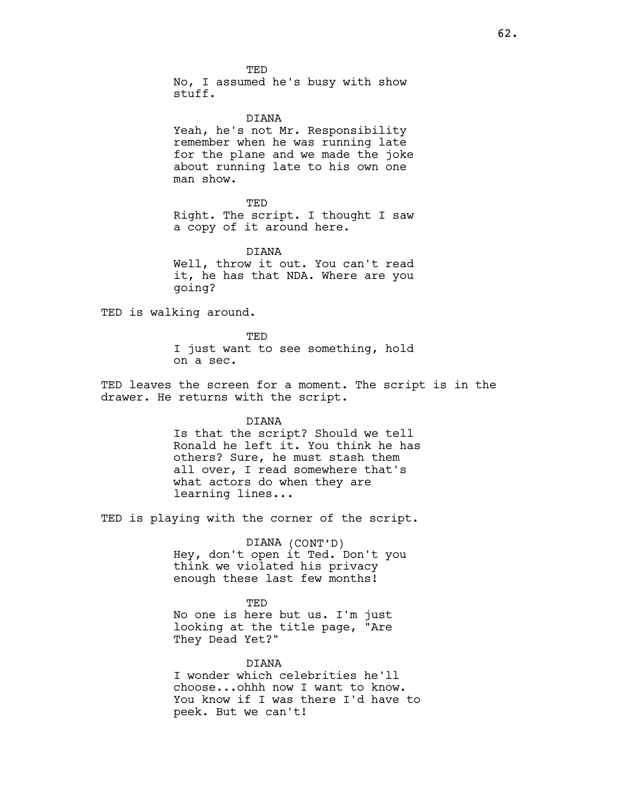TED No, I assumed he's busy with show stuff.

#### DIANA

Yeah, he's not Mr. Responsibility remember when he was running late for the plane and we made the joke about running late to his own one man show.

**TED** Right. The script. I thought I saw a copy of it around here.

DIANA Well, throw it out. You can't read it, he has that NDA. Where are you going?

TED is walking around.

TED I just want to see something, hold on a sec.

TED leaves the screen for a moment. The script is in the drawer. He returns with the script.

DIANA

Is that the script? Should we tell Ronald he left it. You think he has others? Sure, he must stash them all over, I read somewhere that's what actors do when they are learning lines...

TED is playing with the corner of the script.

DIANA (CONT'D) Hey, don't open it Ted. Don't you think we violated his privacy enough these last few months!

TED No one is here but us. I'm just looking at the title page, "Are They Dead Yet?"

DIANA

I wonder which celebrities he'll choose...ohhh now I want to know. You know if I was there I'd have to peek. But we can't!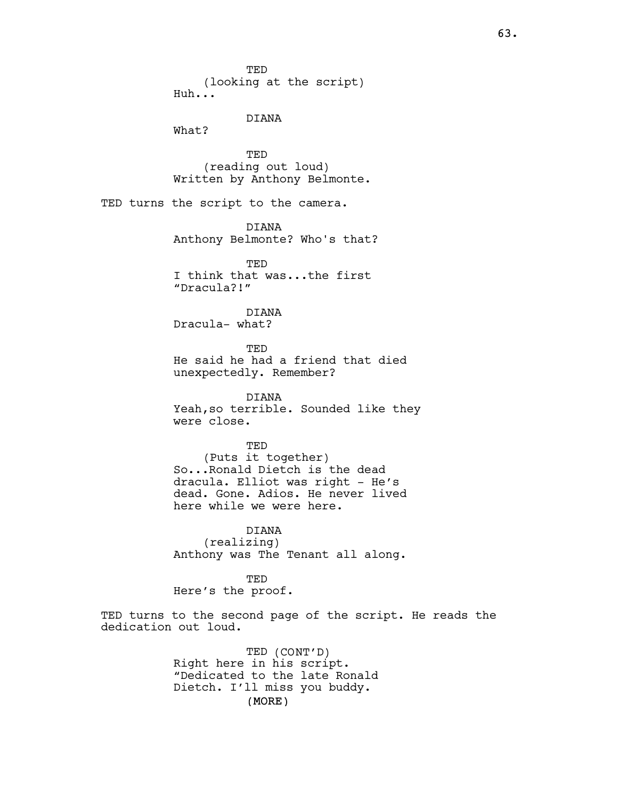**TED** (looking at the script) Huh...

DIANA

What?

TED (reading out loud) Written by Anthony Belmonte.

TED turns the script to the camera.

DIANA

Anthony Belmonte? Who's that?

TED I think that was...the first "Dracula?!"

DIANA Dracula- what?

TED He said he had a friend that died unexpectedly. Remember?

DIANA Yeah,so terrible. Sounded like they were close.

TED (Puts it together) So...Ronald Dietch is the dead dracula. Elliot was right - He's dead. Gone. Adios. He never lived here while we were here.

DIANA (realizing) Anthony was The Tenant all along.

TED Here's the proof.

TED turns to the second page of the script. He reads the dedication out loud.

> (MORE) TED (CONT'D) Right here in his script. "Dedicated to the late Ronald Dietch. I'll miss you buddy.